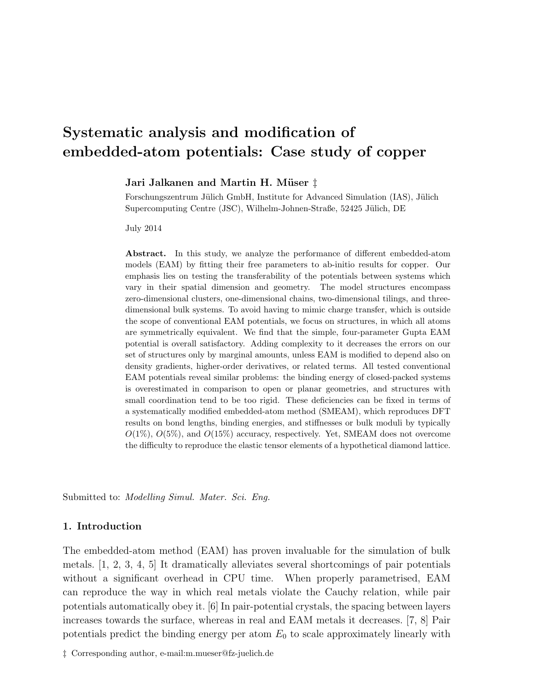# Systematic analysis and modification of embedded-atom potentials: Case study of copper

Jari Jalkanen and Martin H. Müser ‡

Forschungszentrum Jülich GmbH, Institute for Advanced Simulation (IAS), Jülich Supercomputing Centre (JSC), Wilhelm-Johnen-Straße, 52425 Jülich, DE

July 2014

Abstract. In this study, we analyze the performance of different embedded-atom models (EAM) by fitting their free parameters to ab-initio results for copper. Our emphasis lies on testing the transferability of the potentials between systems which vary in their spatial dimension and geometry. The model structures encompass zero-dimensional clusters, one-dimensional chains, two-dimensional tilings, and threedimensional bulk systems. To avoid having to mimic charge transfer, which is outside the scope of conventional EAM potentials, we focus on structures, in which all atoms are symmetrically equivalent. We find that the simple, four-parameter Gupta EAM potential is overall satisfactory. Adding complexity to it decreases the errors on our set of structures only by marginal amounts, unless EAM is modified to depend also on density gradients, higher-order derivatives, or related terms. All tested conventional EAM potentials reveal similar problems: the binding energy of closed-packed systems is overestimated in comparison to open or planar geometries, and structures with small coordination tend to be too rigid. These deficiencies can be fixed in terms of a systematically modified embedded-atom method (SMEAM), which reproduces DFT results on bond lengths, binding energies, and stiffnesses or bulk moduli by typically  $O(1\%)$ ,  $O(5\%)$ , and  $O(15\%)$  accuracy, respectively. Yet, SMEAM does not overcome the difficulty to reproduce the elastic tensor elements of a hypothetical diamond lattice.

Submitted to: Modelling Simul. Mater. Sci. Eng.

### 1. Introduction

The embedded-atom method (EAM) has proven invaluable for the simulation of bulk metals. [1, 2, 3, 4, 5] It dramatically alleviates several shortcomings of pair potentials without a significant overhead in CPU time. When properly parametrised, EAM can reproduce the way in which real metals violate the Cauchy relation, while pair potentials automatically obey it. [6] In pair-potential crystals, the spacing between layers increases towards the surface, whereas in real and EAM metals it decreases. [7, 8] Pair potentials predict the binding energy per atom  $E_0$  to scale approximately linearly with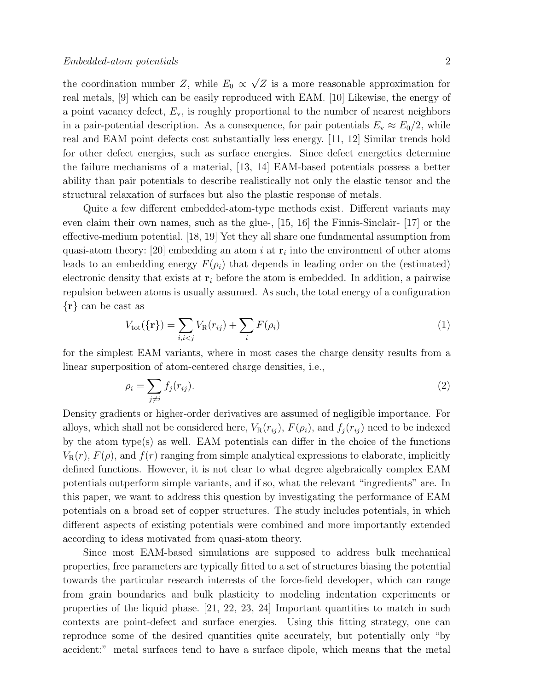the coordination number Z, while  $E_0 \propto$ √ Z is a more reasonable approximation for real metals, [9] which can be easily reproduced with EAM. [10] Likewise, the energy of a point vacancy defect,  $E_v$ , is roughly proportional to the number of nearest neighbors in a pair-potential description. As a consequence, for pair potentials  $E_v \approx E_0/2$ , while real and EAM point defects cost substantially less energy. [11, 12] Similar trends hold for other defect energies, such as surface energies. Since defect energetics determine the failure mechanisms of a material, [13, 14] EAM-based potentials possess a better ability than pair potentials to describe realistically not only the elastic tensor and the structural relaxation of surfaces but also the plastic response of metals.

Quite a few different embedded-atom-type methods exist. Different variants may even claim their own names, such as the glue-, [15, 16] the Finnis-Sinclair- [17] or the effective-medium potential. [18, 19] Yet they all share one fundamental assumption from quasi-atom theory: [20] embedding an atom i at  $r_i$  into the environment of other atoms leads to an embedding energy  $F(\rho_i)$  that depends in leading order on the (estimated) electronic density that exists at  $r_i$  before the atom is embedded. In addition, a pairwise repulsion between atoms is usually assumed. As such, the total energy of a configuration {r} can be cast as

$$
V_{\text{tot}}(\{\mathbf{r}\}) = \sum_{i,i < j} V_{\text{R}}(r_{ij}) + \sum_{i} F(\rho_i) \tag{1}
$$

for the simplest EAM variants, where in most cases the charge density results from a linear superposition of atom-centered charge densities, i.e.,

$$
\rho_i = \sum_{j \neq i} f_j(r_{ij}).\tag{2}
$$

Density gradients or higher-order derivatives are assumed of negligible importance. For alloys, which shall not be considered here,  $V_R(r_{ij})$ ,  $F(\rho_i)$ , and  $f_i(r_{ij})$  need to be indexed by the atom type(s) as well. EAM potentials can differ in the choice of the functions  $V_{\rm R}(r)$ ,  $F(\rho)$ , and  $f(r)$  ranging from simple analytical expressions to elaborate, implicitly defined functions. However, it is not clear to what degree algebraically complex EAM potentials outperform simple variants, and if so, what the relevant "ingredients" are. In this paper, we want to address this question by investigating the performance of EAM potentials on a broad set of copper structures. The study includes potentials, in which different aspects of existing potentials were combined and more importantly extended according to ideas motivated from quasi-atom theory.

Since most EAM-based simulations are supposed to address bulk mechanical properties, free parameters are typically fitted to a set of structures biasing the potential towards the particular research interests of the force-field developer, which can range from grain boundaries and bulk plasticity to modeling indentation experiments or properties of the liquid phase. [21, 22, 23, 24] Important quantities to match in such contexts are point-defect and surface energies. Using this fitting strategy, one can reproduce some of the desired quantities quite accurately, but potentially only "by accident:" metal surfaces tend to have a surface dipole, which means that the metal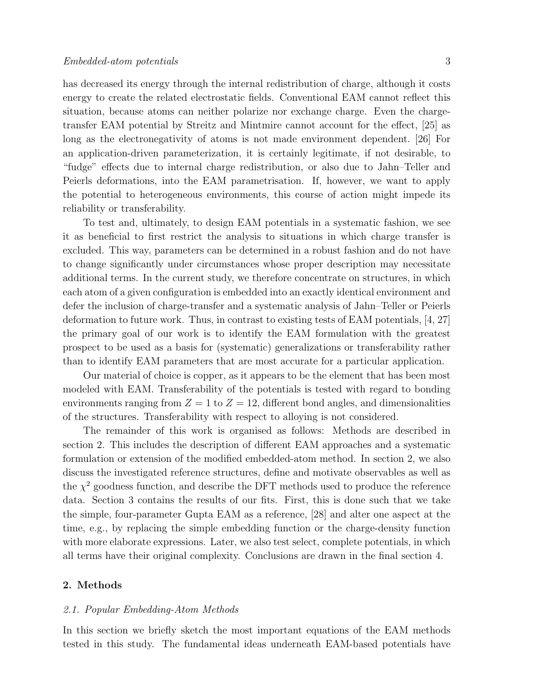### Embedded-atom potentials 3

has decreased its energy through the internal redistribution of charge, although it costs energy to create the related electrostatic fields. Conventional EAM cannot reflect this situation, because atoms can neither polarize nor exchange charge. Even the chargetransfer EAM potential by Streitz and Mintmire cannot account for the effect, [25] as long as the electronegativity of atoms is not made environment dependent. [26] For an application-driven parameterization, it is certainly legitimate, if not desirable, to "fudge" effects due to internal charge redistribution, or also due to Jahn–Teller and Peierls deformations, into the EAM parametrisation. If, however, we want to apply the potential to heterogeneous environments, this course of action might impede its reliability or transferability.

To test and, ultimately, to design EAM potentials in a systematic fashion, we see it as beneficial to first restrict the analysis to situations in which charge transfer is excluded. This way, parameters can be determined in a robust fashion and do not have to change significantly under circumstances whose proper description may necessitate additional terms. In the current study, we therefore concentrate on structures, in which each atom of a given configuration is embedded into an exactly identical environment and defer the inclusion of charge-transfer and a systematic analysis of Jahn–Teller or Peierls deformation to future work. Thus, in contrast to existing tests of EAM potentials, [4, 27] the primary goal of our work is to identify the EAM formulation with the greatest prospect to be used as a basis for (systematic) generalizations or transferability rather than to identify EAM parameters that are most accurate for a particular application.

Our material of choice is copper, as it appears to be the element that has been most modeled with EAM. Transferability of the potentials is tested with regard to bonding environments ranging from  $Z = 1$  to  $Z = 12$ , different bond angles, and dimensionalities of the structures. Transferability with respect to alloying is not considered.

The remainder of this work is organised as follows: Methods are described in section 2. This includes the description of different EAM approaches and a systematic formulation or extension of the modified embedded-atom method. In section 2, we also discuss the investigated reference structures, define and motivate observables as well as the  $\chi^2$  goodness function, and describe the DFT methods used to produce the reference data. Section 3 contains the results of our fits. First, this is done such that we take the simple, four-parameter Gupta EAM as a reference, [28] and alter one aspect at the time, e.g., by replacing the simple embedding function or the charge-density function with more elaborate expressions. Later, we also test select, complete potentials, in which all terms have their original complexity. Conclusions are drawn in the final section 4.

### 2. Methods

### 2.1. Popular Embedding-Atom Methods

In this section we briefly sketch the most important equations of the EAM methods tested in this study. The fundamental ideas underneath EAM-based potentials have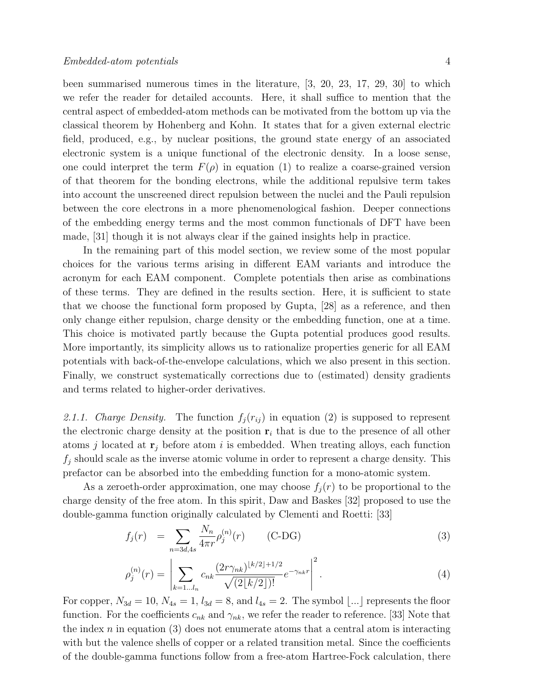been summarised numerous times in the literature, [3, 20, 23, 17, 29, 30] to which we refer the reader for detailed accounts. Here, it shall suffice to mention that the central aspect of embedded-atom methods can be motivated from the bottom up via the classical theorem by Hohenberg and Kohn. It states that for a given external electric field, produced, e.g., by nuclear positions, the ground state energy of an associated electronic system is a unique functional of the electronic density. In a loose sense, one could interpret the term  $F(\rho)$  in equation (1) to realize a coarse-grained version of that theorem for the bonding electrons, while the additional repulsive term takes into account the unscreened direct repulsion between the nuclei and the Pauli repulsion between the core electrons in a more phenomenological fashion. Deeper connections of the embedding energy terms and the most common functionals of DFT have been made, [31] though it is not always clear if the gained insights help in practice.

In the remaining part of this model section, we review some of the most popular choices for the various terms arising in different EAM variants and introduce the acronym for each EAM component. Complete potentials then arise as combinations of these terms. They are defined in the results section. Here, it is sufficient to state that we choose the functional form proposed by Gupta, [28] as a reference, and then only change either repulsion, charge density or the embedding function, one at a time. This choice is motivated partly because the Gupta potential produces good results. More importantly, its simplicity allows us to rationalize properties generic for all EAM potentials with back-of-the-envelope calculations, which we also present in this section. Finally, we construct systematically corrections due to (estimated) density gradients and terms related to higher-order derivatives.

2.1.1. Charge Density. The function  $f_j(r_{ij})$  in equation (2) is supposed to represent the electronic charge density at the position  $r_i$  that is due to the presence of all other atoms j located at  $\mathbf{r}_j$  before atom i is embedded. When treating alloys, each function  $f_j$  should scale as the inverse atomic volume in order to represent a charge density. This prefactor can be absorbed into the embedding function for a mono-atomic system.

As a zeroeth-order approximation, one may choose  $f_i(r)$  to be proportional to the charge density of the free atom. In this spirit, Daw and Baskes [32] proposed to use the double-gamma function originally calculated by Clementi and Roetti: [33]

$$
f_j(r) = \sum_{n=3d,4s} \frac{N_n}{4\pi r} \rho_j^{(n)}(r) \qquad \text{(C-DG)} \tag{3}
$$

$$
\rho_j^{(n)}(r) = \left| \sum_{k=1...l_n} c_{nk} \frac{(2r\gamma_{nk})^{\lfloor k/2 \rfloor + 1/2}}{\sqrt{(2\lfloor k/2 \rfloor)!}} e^{-\gamma_{nk}r} \right|^2.
$$
\n(4)

For copper,  $N_{3d} = 10$ ,  $N_{4s} = 1$ ,  $l_{3d} = 8$ , and  $l_{4s} = 2$ . The symbol [...] represents the floor function. For the coefficients  $c_{nk}$  and  $\gamma_{nk}$ , we refer the reader to reference. [33] Note that the index  $n$  in equation (3) does not enumerate atoms that a central atom is interacting with but the valence shells of copper or a related transition metal. Since the coefficients of the double-gamma functions follow from a free-atom Hartree-Fock calculation, there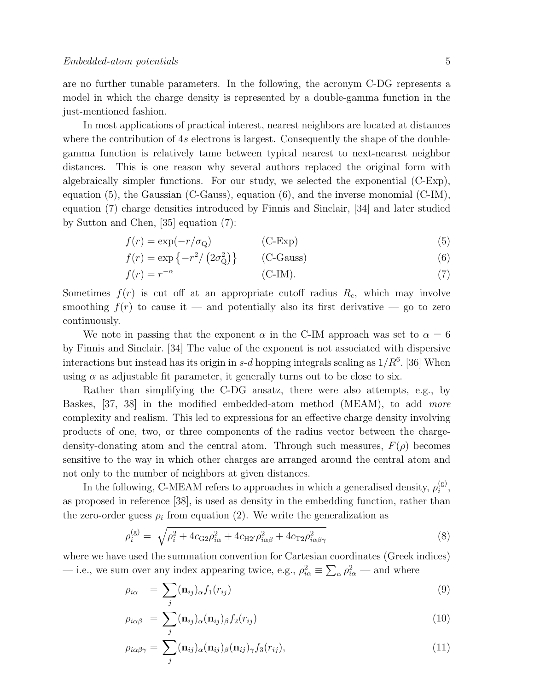are no further tunable parameters. In the following, the acronym C-DG represents a model in which the charge density is represented by a double-gamma function in the just-mentioned fashion.

In most applications of practical interest, nearest neighbors are located at distances where the contribution of 4s electrons is largest. Consequently the shape of the doublegamma function is relatively tame between typical nearest to next-nearest neighbor distances. This is one reason why several authors replaced the original form with algebraically simpler functions. For our study, we selected the exponential (C-Exp), equation (5), the Gaussian (C-Gauss), equation (6), and the inverse monomial (C-IM), equation (7) charge densities introduced by Finnis and Sinclair, [34] and later studied by Sutton and Chen, [35] equation (7):

$$
f(r) = \exp(-r/\sigma_{Q})
$$
 (C-Exp) (5)

$$
f(r) = \exp\{-r^2/\left(2\sigma_{\rm Q}^2\right)\}\qquad\text{(C-Gauss)}\tag{6}
$$

$$
f(r) = r^{-\alpha} \tag{7}
$$

Sometimes  $f(r)$  is cut off at an appropriate cutoff radius  $R_c$ , which may involve smoothing  $f(r)$  to cause it — and potentially also its first derivative — go to zero continuously.

We note in passing that the exponent  $\alpha$  in the C-IM approach was set to  $\alpha = 6$ by Finnis and Sinclair. [34] The value of the exponent is not associated with dispersive interactions but instead has its origin in  $s$ -d hopping integrals scaling as  $1/R<sup>6</sup>$ . [36] When using  $\alpha$  as adjustable fit parameter, it generally turns out to be close to six.

Rather than simplifying the C-DG ansatz, there were also attempts, e.g., by Baskes, [37, 38] in the modified embedded-atom method (MEAM), to add more complexity and realism. This led to expressions for an effective charge density involving products of one, two, or three components of the radius vector between the chargedensity-donating atom and the central atom. Through such measures,  $F(\rho)$  becomes sensitive to the way in which other charges are arranged around the central atom and not only to the number of neighbors at given distances.

In the following, C-MEAM refers to approaches in which a generalised density,  $\rho_i^{(g)}$  $\binom{g}{i}$ as proposed in reference [38], is used as density in the embedding function, rather than the zero-order guess  $\rho_i$  from equation (2). We write the generalization as

$$
\rho_i^{(g)} = \sqrt{\rho_i^2 + 4c_{\text{G2}}\rho_{i\alpha}^2 + 4c_{\text{H2}'}\rho_{i\alpha\beta}^2 + 4c_{\text{T2}}\rho_{i\alpha\beta\gamma}^2}
$$
(8)

where we have used the summation convention for Cartesian coordinates (Greek indices) — i.e., we sum over any index appearing twice, e.g.,  $\rho_{i\alpha}^2 \equiv \sum_{\alpha} \rho_{i\alpha}^2$  — and where

$$
\rho_{i\alpha} = \sum_{j} (\mathbf{n}_{ij})_{\alpha} f_1(r_{ij}) \tag{9}
$$

$$
\rho_{i\alpha\beta} = \sum_{j} (\mathbf{n}_{ij})_{\alpha} (\mathbf{n}_{ij})_{\beta} f_2(r_{ij}) \tag{10}
$$

$$
\rho_{i\alpha\beta\gamma} = \sum_{j} (\mathbf{n}_{ij})_{\alpha} (\mathbf{n}_{ij})_{\beta} (\mathbf{n}_{ij})_{\gamma} f_3(r_{ij}), \qquad (11)
$$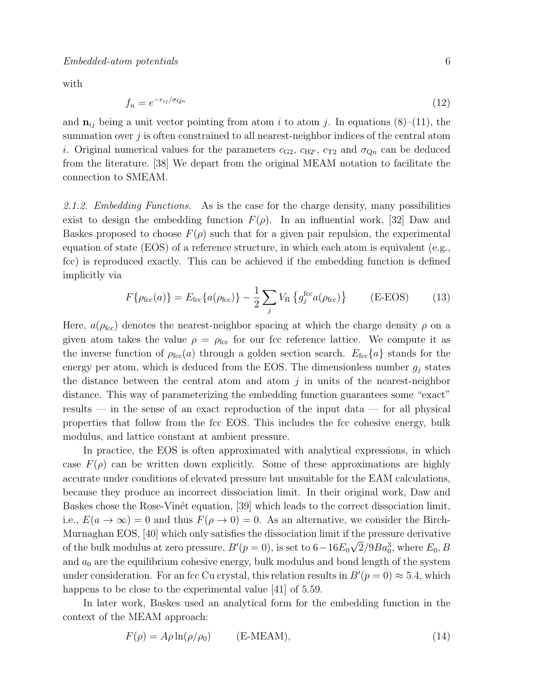with

$$
f_n = e^{-r_{ij}/\sigma_{\mathcal{Q}n}} \tag{12}
$$

and  $\mathbf{n}_{ij}$  being a unit vector pointing from atom i to atom j. In equations (8)–(11), the summation over  $j$  is often constrained to all nearest-neighbor indices of the central atom i. Original numerical values for the parameters  $c_{\text{G2}}$ ,  $c_{\text{H2}}$ ,  $c_{\text{T2}}$  and  $\sigma_{\text{Qn}}$  can be deduced from the literature. [38] We depart from the original MEAM notation to facilitate the connection to SMEAM.

2.1.2. Embedding Functions. As is the case for the charge density, many possibilities exist to design the embedding function  $F(\rho)$ . In an influential work, [32] Daw and Baskes proposed to choose  $F(\rho)$  such that for a given pair repulsion, the experimental equation of state (EOS) of a reference structure, in which each atom is equivalent (e.g., fcc) is reproduced exactly. This can be achieved if the embedding function is defined implicitly via

$$
F\{\rho_{\text{fcc}}(a)\} = E_{\text{fcc}}\{a(\rho_{\text{fcc}})\} - \frac{1}{2} \sum_{j} V_{\text{R}}\{g_j^{\text{fcc}}a(\rho_{\text{fcc}})\}
$$
 (E-EOS) (13)

Here,  $a(\rho_{\text{fcc}})$  denotes the nearest-neighbor spacing at which the charge density  $\rho$  on a given atom takes the value  $\rho = \rho_{\text{fcc}}$  for our fcc reference lattice. We compute it as the inverse function of  $\rho_{\text{fcc}}(a)$  through a golden section search.  $E_{\text{fcc}}\{a\}$  stands for the energy per atom, which is deduced from the EOS. The dimensionless number  $g_j$  states the distance between the central atom and atom  $j$  in units of the nearest-neighbor distance. This way of parameterizing the embedding function guarantees some "exact" results — in the sense of an exact reproduction of the input data — for all physical properties that follow from the fcc EOS. This includes the fcc cohesive energy, bulk modulus, and lattice constant at ambient pressure.

In practice, the EOS is often approximated with analytical expressions, in which case  $F(\rho)$  can be written down explicitly. Some of these approximations are highly accurate under conditions of elevated pressure but unsuitable for the EAM calculations, because they produce an incorrect dissociation limit. In their original work, Daw and Baskes chose the Rose-Vinet equation, [39] which leads to the correct dissociation limit, i.e.,  $E(a \to \infty) = 0$  and thus  $F(\rho \to 0) = 0$ . As an alternative, we consider the Birch-Murnaghan EOS, [40] which only satisfies the dissociation limit if the pressure derivative of the bulk modulus at zero pressure,  $B'(p=0)$ , is set to  $6-16E_0\sqrt{2}/9Ba_0^3$ , where  $E_0$ ,  $B$ and  $a_0$  are the equilibrium cohesive energy, bulk modulus and bond length of the system under consideration. For an fcc Cu crystal, this relation results in  $B'(p=0) \approx 5.4$ , which happens to be close to the experimental value [41] of 5.59.

In later work, Baskes used an analytical form for the embedding function in the context of the MEAM approach:

$$
F(\rho) = A\rho \ln(\rho/\rho_0) \qquad \text{(E-MEAM)},\tag{14}
$$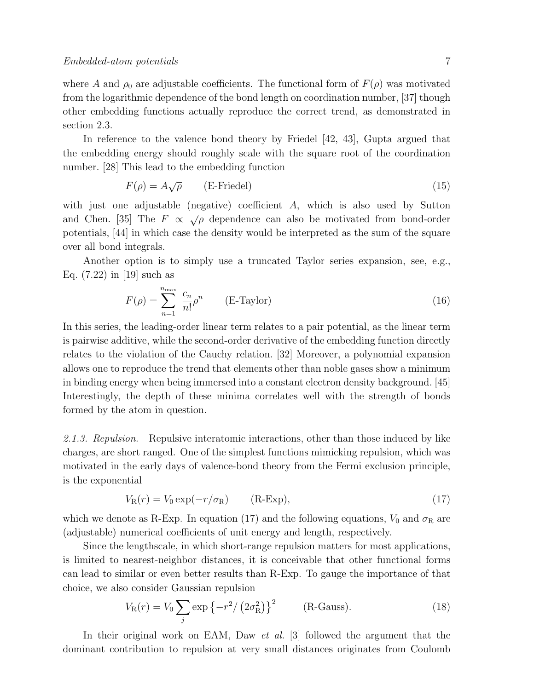where A and  $\rho_0$  are adjustable coefficients. The functional form of  $F(\rho)$  was motivated from the logarithmic dependence of the bond length on coordination number, [37] though other embedding functions actually reproduce the correct trend, as demonstrated in section 2.3.

In reference to the valence bond theory by Friedel [42, 43], Gupta argued that the embedding energy should roughly scale with the square root of the coordination number. [28] This lead to the embedding function

$$
F(\rho) = A\sqrt{\rho} \qquad \text{(E-Friedel)} \tag{15}
$$

with just one adjustable (negative) coefficient A, which is also used by Sutton and Chen. [35] The  $F \propto \sqrt{\rho}$  dependence can also be motivated from bond-order potentials, [44] in which case the density would be interpreted as the sum of the square over all bond integrals.

Another option is to simply use a truncated Taylor series expansion, see, e.g., Eq. (7.22) in [19] such as

$$
F(\rho) = \sum_{n=1}^{n_{\text{max}}} \frac{c_n}{n!} \rho^n \qquad \text{(E-Taylor)} \tag{16}
$$

In this series, the leading-order linear term relates to a pair potential, as the linear term is pairwise additive, while the second-order derivative of the embedding function directly relates to the violation of the Cauchy relation. [32] Moreover, a polynomial expansion allows one to reproduce the trend that elements other than noble gases show a minimum in binding energy when being immersed into a constant electron density background. [45] Interestingly, the depth of these minima correlates well with the strength of bonds formed by the atom in question.

2.1.3. Repulsion. Repulsive interatomic interactions, other than those induced by like charges, are short ranged. One of the simplest functions mimicking repulsion, which was motivated in the early days of valence-bond theory from the Fermi exclusion principle, is the exponential

$$
V_{\rm R}(r) = V_0 \exp(-r/\sigma_{\rm R}) \qquad \text{(R-Exp)},\tag{17}
$$

which we denote as R-Exp. In equation (17) and the following equations,  $V_0$  and  $\sigma_R$  are (adjustable) numerical coefficients of unit energy and length, respectively.

Since the lengthscale, in which short-range repulsion matters for most applications, is limited to nearest-neighbor distances, it is conceivable that other functional forms can lead to similar or even better results than R-Exp. To gauge the importance of that choice, we also consider Gaussian repulsion

$$
V_{\rm R}(r) = V_0 \sum_j \exp\left\{-r^2/\left(2\sigma_{\rm R}^2\right)\right\}^2 \qquad \text{(R-Gauss)}.\tag{18}
$$

In their original work on EAM, Daw *et al.* [3] followed the argument that the dominant contribution to repulsion at very small distances originates from Coulomb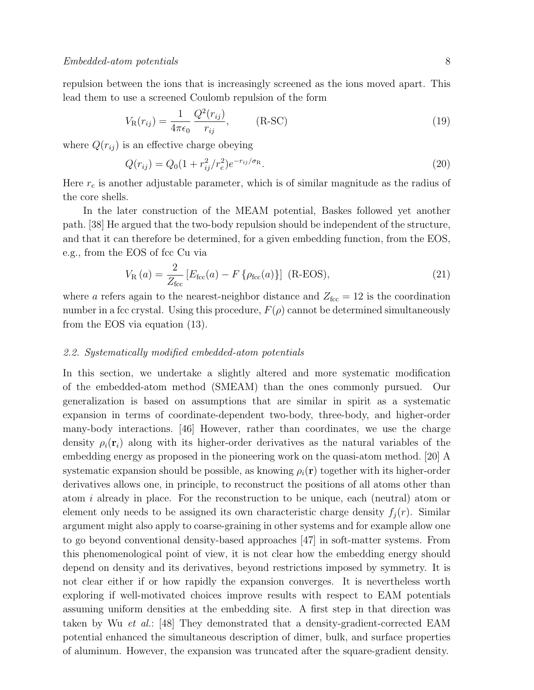repulsion between the ions that is increasingly screened as the ions moved apart. This lead them to use a screened Coulomb repulsion of the form

$$
V_{\mathcal{R}}(r_{ij}) = \frac{1}{4\pi\epsilon_0} \frac{Q^2(r_{ij})}{r_{ij}}, \qquad \text{(R-SC)}
$$
\n(19)

where  $Q(r_{ij})$  is an effective charge obeying

$$
Q(r_{ij}) = Q_0(1 + r_{ij}^2/r_c^2)e^{-r_{ij}/\sigma_{\rm R}}.
$$
\n(20)

Here  $r_c$  is another adjustable parameter, which is of similar magnitude as the radius of the core shells.

In the later construction of the MEAM potential, Baskes followed yet another path. [38] He argued that the two-body repulsion should be independent of the structure, and that it can therefore be determined, for a given embedding function, from the EOS, e.g., from the EOS of fcc Cu via

$$
V_{\rm R}(a) = \frac{2}{Z_{\rm fcc}} \left[ E_{\rm fcc}(a) - F \{ \rho_{\rm fcc}(a) \} \right] \text{ (R-EOS)}, \tag{21}
$$

where a refers again to the nearest-neighbor distance and  $Z_{\text{fcc}} = 12$  is the coordination number in a fcc crystal. Using this procedure,  $F(\rho)$  cannot be determined simultaneously from the EOS via equation (13).

### 2.2. Systematically modified embedded-atom potentials

In this section, we undertake a slightly altered and more systematic modification of the embedded-atom method (SMEAM) than the ones commonly pursued. Our generalization is based on assumptions that are similar in spirit as a systematic expansion in terms of coordinate-dependent two-body, three-body, and higher-order many-body interactions. [46] However, rather than coordinates, we use the charge density  $\rho_i(\mathbf{r}_i)$  along with its higher-order derivatives as the natural variables of the embedding energy as proposed in the pioneering work on the quasi-atom method. [20] A systematic expansion should be possible, as knowing  $\rho_i(\mathbf{r})$  together with its higher-order derivatives allows one, in principle, to reconstruct the positions of all atoms other than atom i already in place. For the reconstruction to be unique, each (neutral) atom or element only needs to be assigned its own characteristic charge density  $f_i(r)$ . Similar argument might also apply to coarse-graining in other systems and for example allow one to go beyond conventional density-based approaches [47] in soft-matter systems. From this phenomenological point of view, it is not clear how the embedding energy should depend on density and its derivatives, beyond restrictions imposed by symmetry. It is not clear either if or how rapidly the expansion converges. It is nevertheless worth exploring if well-motivated choices improve results with respect to EAM potentials assuming uniform densities at the embedding site. A first step in that direction was taken by Wu et al.: [48] They demonstrated that a density-gradient-corrected EAM potential enhanced the simultaneous description of dimer, bulk, and surface properties of aluminum. However, the expansion was truncated after the square-gradient density.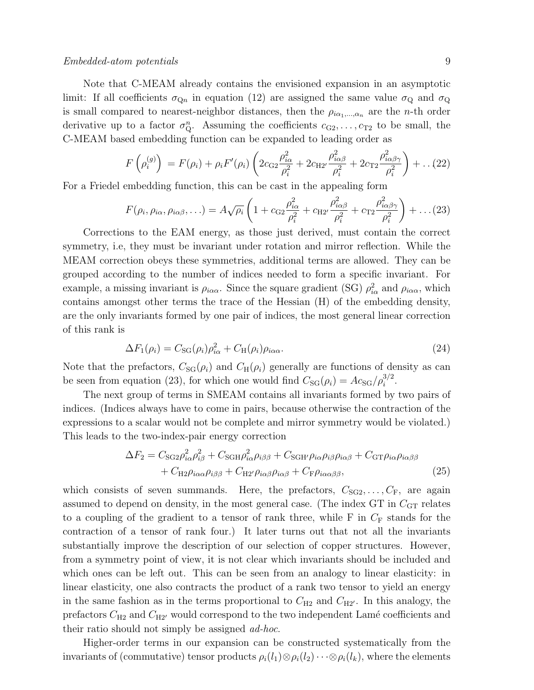## Embedded-atom potentials 9

Note that C-MEAM already contains the envisioned expansion in an asymptotic limit: If all coefficients  $\sigma_{Qn}$  in equation (12) are assigned the same value  $\sigma_{Q}$  and  $\sigma_{Q}$ is small compared to nearest-neighbor distances, then the  $\rho_{i\alpha_1,\dots,\alpha_n}$  are the n-th order derivative up to a factor  $\sigma_{\mathbf{Q}}^n$ . Assuming the coefficients  $c_{\mathbf{G}2}, \ldots, c_{\mathbf{T}2}$  to be small, the C-MEAM based embedding function can be expanded to leading order as

$$
F\left(\rho_i^{(g)}\right) = F(\rho_i) + \rho_i F'(\rho_i) \left(2c_{\text{G2}}\frac{\rho_{i\alpha}^2}{\rho_i^2} + 2c_{\text{H2}'}\frac{\rho_{i\alpha\beta}^2}{\rho_i^2} + 2c_{\text{T2}}\frac{\rho_{i\alpha\beta\gamma}^2}{\rho_i^2}\right) + \dots (22)
$$

For a Friedel embedding function, this can be cast in the appealing form

$$
F(\rho_i, \rho_{i\alpha}, \rho_{i\alpha\beta}, \ldots) = A\sqrt{\rho_i} \left( 1 + c_{\text{G2}} \frac{\rho_{i\alpha}^2}{\rho_i^2} + c_{\text{H2}'} \frac{\rho_{i\alpha\beta}^2}{\rho_i^2} + c_{\text{T2}} \frac{\rho_{i\alpha\beta\gamma}^2}{\rho_i^2} \right) + \ldots (23)
$$

Corrections to the EAM energy, as those just derived, must contain the correct symmetry, i.e, they must be invariant under rotation and mirror reflection. While the MEAM correction obeys these symmetries, additional terms are allowed. They can be grouped according to the number of indices needed to form a specific invariant. For example, a missing invariant is  $\rho_{i\alpha\alpha}$ . Since the square gradient (SG)  $\rho_{i\alpha}^2$  and  $\rho_{i\alpha\alpha}$ , which contains amongst other terms the trace of the Hessian (H) of the embedding density, are the only invariants formed by one pair of indices, the most general linear correction of this rank is

$$
\Delta F_1(\rho_i) = C_{\rm SG}(\rho_i)\rho_{i\alpha}^2 + C_{\rm H}(\rho_i)\rho_{i\alpha\alpha}.\tag{24}
$$

Note that the prefactors,  $C_{SG}(\rho_i)$  and  $C_H(\rho_i)$  generally are functions of density as can be seen from equation (23), for which one would find  $C_{SG}(\rho_i) = Ac_{SG}/\rho_i^{3/2}$ .

The next group of terms in SMEAM contains all invariants formed by two pairs of indices. (Indices always have to come in pairs, because otherwise the contraction of the expressions to a scalar would not be complete and mirror symmetry would be violated.) This leads to the two-index-pair energy correction

$$
\Delta F_2 = C_{\text{SG2}} \rho_{i\alpha}^2 \rho_{i\beta}^2 + C_{\text{SGH}} \rho_{i\alpha}^2 \rho_{i\beta\beta} + C_{\text{SGH}} \rho_{i\alpha} \rho_{i\beta} \rho_{i\alpha\beta} + C_{\text{GT}} \rho_{i\alpha} \rho_{i\alpha\beta\beta} + C_{\text{H2}} \rho_{i\alpha\alpha} \rho_{i\beta\beta} + C_{\text{H2}} \rho_{i\alpha\beta} \rho_{i\alpha\beta} + C_{\text{F}} \rho_{i\alpha\alpha\beta\beta},
$$
\n(25)

which consists of seven summands. Here, the prefactors,  $C_{SG2}, \ldots, C_{F}$ , are again assumed to depend on density, in the most general case. (The index GT in  $C_{GT}$  relates to a coupling of the gradient to a tensor of rank three, while  $F$  in  $C_F$  stands for the contraction of a tensor of rank four.) It later turns out that not all the invariants substantially improve the description of our selection of copper structures. However, from a symmetry point of view, it is not clear which invariants should be included and which ones can be left out. This can be seen from an analogy to linear elasticity: in linear elasticity, one also contracts the product of a rank two tensor to yield an energy in the same fashion as in the terms proportional to  $C_{H2}$  and  $C_{H2}$ . In this analogy, the prefactors  $C_{H2}$  and  $C_{H2}$  would correspond to the two independent Lamé coefficients and their ratio should not simply be assigned ad-hoc.

Higher-order terms in our expansion can be constructed systematically from the invariants of (commutative) tensor products  $\rho_i(l_1)\otimes\rho_i(l_2)\cdots\otimes\rho_i(l_k)$ , where the elements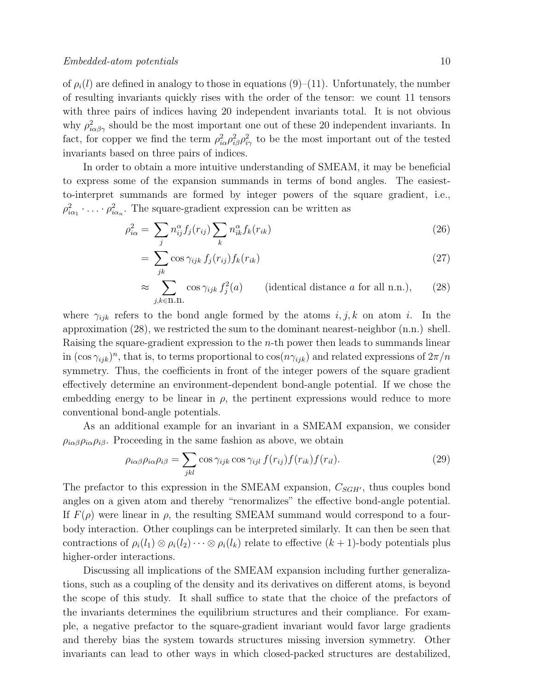of  $\rho_i(l)$  are defined in analogy to those in equations (9)–(11). Unfortunately, the number of resulting invariants quickly rises with the order of the tensor: we count 11 tensors with three pairs of indices having 20 independent invariants total. It is not obvious why  $\rho_{i\alpha\beta\gamma}^2$  should be the most important one out of these 20 independent invariants. In fact, for copper we find the term  $\rho_{i\alpha}^2 \rho_{i\beta}^2 \rho_{i\gamma}^2$  to be the most important out of the tested invariants based on three pairs of indices.

In order to obtain a more intuitive understanding of SMEAM, it may be beneficial to express some of the expansion summands in terms of bond angles. The easiestto-interpret summands are formed by integer powers of the square gradient, i.e.,  $\rho_{i\alpha_1}^2 \cdot \ldots \cdot \rho_{i\alpha_n}^2$ . The square-gradient expression can be written as

$$
\rho_{i\alpha}^2 = \sum_j n_{ij}^{\alpha} f_j(r_{ij}) \sum_k n_{ik}^{\alpha} f_k(r_{ik})
$$
\n(26)

$$
= \sum_{jk} \cos \gamma_{ijk} f_j(r_{ij}) f_k(r_{ik}) \tag{27}
$$

$$
\approx \sum_{j,k \in \text{II.n.}} \cos \gamma_{ijk} f_j^2(a) \qquad \text{(identical distance } a \text{ for all n.n.)}, \qquad (28)
$$

where  $\gamma_{ijk}$  refers to the bond angle formed by the atoms  $i, j, k$  on atom i. In the approximation (28), we restricted the sum to the dominant nearest-neighbor (n.n.) shell. Raising the square-gradient expression to the n-th power then leads to summands linear in  $(\cos \gamma_{ijk})^n$ , that is, to terms proportional to  $\cos(n\gamma_{ijk})$  and related expressions of  $2\pi/n$ symmetry. Thus, the coefficients in front of the integer powers of the square gradient effectively determine an environment-dependent bond-angle potential. If we chose the embedding energy to be linear in  $\rho$ , the pertinent expressions would reduce to more conventional bond-angle potentials.

As an additional example for an invariant in a SMEAM expansion, we consider  $\rho_{i\alpha\beta}\rho_{i\alpha}\rho_{i\beta}$ . Proceeding in the same fashion as above, we obtain

$$
\rho_{i\alpha\beta}\rho_{i\alpha}\rho_{i\beta} = \sum_{jkl} \cos \gamma_{ijk} \cos \gamma_{ijl} f(r_{ij}) f(r_{ik}) f(r_{il}). \tag{29}
$$

The prefactor to this expression in the SMEAM expansion,  $C_{SGH'}$ , thus couples bond angles on a given atom and thereby "renormalizes" the effective bond-angle potential. If  $F(\rho)$  were linear in  $\rho$ , the resulting SMEAM summand would correspond to a fourbody interaction. Other couplings can be interpreted similarly. It can then be seen that contractions of  $\rho_i(l_1) \otimes \rho_i(l_2) \cdots \otimes \rho_i(l_k)$  relate to effective  $(k+1)$ -body potentials plus higher-order interactions.

Discussing all implications of the SMEAM expansion including further generalizations, such as a coupling of the density and its derivatives on different atoms, is beyond the scope of this study. It shall suffice to state that the choice of the prefactors of the invariants determines the equilibrium structures and their compliance. For example, a negative prefactor to the square-gradient invariant would favor large gradients and thereby bias the system towards structures missing inversion symmetry. Other invariants can lead to other ways in which closed-packed structures are destabilized,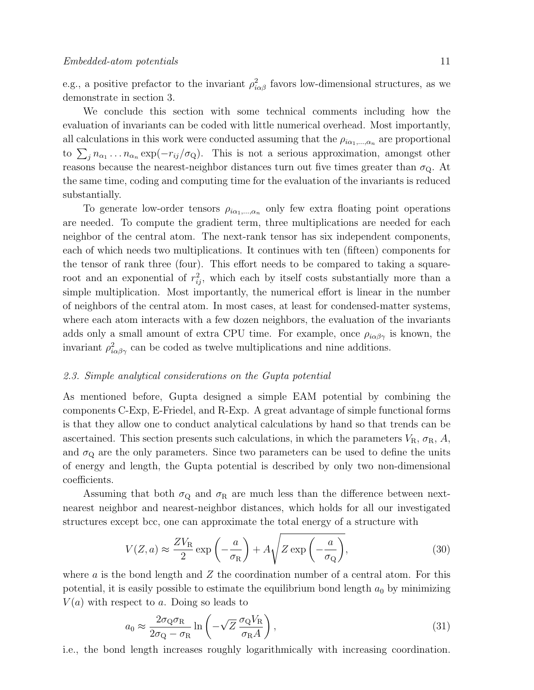e.g., a positive prefactor to the invariant  $\rho_{i\alpha\beta}^2$  favors low-dimensional structures, as we demonstrate in section 3.

We conclude this section with some technical comments including how the evaluation of invariants can be coded with little numerical overhead. Most importantly, all calculations in this work were conducted assuming that the  $\rho_{i\alpha_1,\dots,\alpha_n}$  are proportional to  $\sum_j n_{\alpha_1} \ldots n_{\alpha_n} \exp(-r_{ij}/\sigma_{\mathbf{Q}})$ . This is not a serious approximation, amongst other reasons because the nearest-neighbor distances turn out five times greater than  $\sigma_{Q}$ . At the same time, coding and computing time for the evaluation of the invariants is reduced substantially.

To generate low-order tensors  $\rho_{i\alpha_1,\dots,\alpha_n}$  only few extra floating point operations are needed. To compute the gradient term, three multiplications are needed for each neighbor of the central atom. The next-rank tensor has six independent components, each of which needs two multiplications. It continues with ten (fifteen) components for the tensor of rank three (four). This effort needs to be compared to taking a squareroot and an exponential of  $r_{ij}^2$ , which each by itself costs substantially more than a simple multiplication. Most importantly, the numerical effort is linear in the number of neighbors of the central atom. In most cases, at least for condensed-matter systems, where each atom interacts with a few dozen neighbors, the evaluation of the invariants adds only a small amount of extra CPU time. For example, once  $\rho_{i\alpha\beta\gamma}$  is known, the invariant  $\rho_{i\alpha\beta\gamma}^2$  can be coded as twelve multiplications and nine additions.

### 2.3. Simple analytical considerations on the Gupta potential

As mentioned before, Gupta designed a simple EAM potential by combining the components C-Exp, E-Friedel, and R-Exp. A great advantage of simple functional forms is that they allow one to conduct analytical calculations by hand so that trends can be ascertained. This section presents such calculations, in which the parameters  $V_{\rm R}$ ,  $\sigma_{\rm R}$ , A, and  $\sigma_{\rm Q}$  are the only parameters. Since two parameters can be used to define the units of energy and length, the Gupta potential is described by only two non-dimensional coefficients.

Assuming that both  $\sigma_{\rm Q}$  and  $\sigma_{\rm R}$  are much less than the difference between nextnearest neighbor and nearest-neighbor distances, which holds for all our investigated structures except bcc, one can approximate the total energy of a structure with

$$
V(Z, a) \approx \frac{ZV_{\rm R}}{2} \exp\left(-\frac{a}{\sigma_{\rm R}}\right) + A\sqrt{Z \exp\left(-\frac{a}{\sigma_{\rm Q}}\right)},\tag{30}
$$

where  $\alpha$  is the bond length and  $Z$  the coordination number of a central atom. For this potential, it is easily possible to estimate the equilibrium bond length  $a_0$  by minimizing  $V(a)$  with respect to a. Doing so leads to

$$
a_0 \approx \frac{2\sigma_{\rm Q}\sigma_{\rm R}}{2\sigma_{\rm Q} - \sigma_{\rm R}} \ln\left(-\sqrt{Z}\,\frac{\sigma_{\rm Q}V_{\rm R}}{\sigma_{\rm R}A}\right),\tag{31}
$$

i.e., the bond length increases roughly logarithmically with increasing coordination.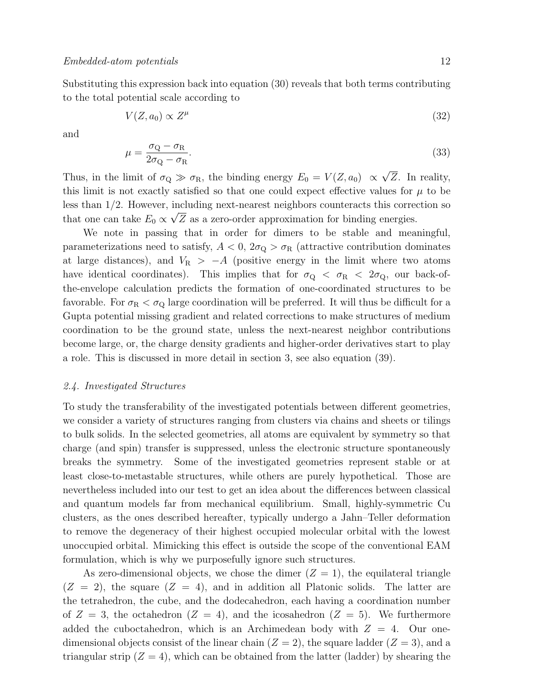$\overline{1}$ 

Substituting this expression back into equation (30) reveals that both terms contributing to the total potential scale according to

$$
V(Z, a_0) \propto Z^{\mu} \tag{32}
$$

and

$$
u = \frac{\sigma_{\rm Q} - \sigma_{\rm R}}{2\sigma_{\rm Q} - \sigma_{\rm R}}.\tag{33}
$$

Thus, in the limit of  $\sigma_{\rm Q} \gg \sigma_{\rm R}$ , the binding energy  $E_0 = V(Z, a_0) \propto \sigma_{\rm R}$ Z. In reality, this limit is not exactly satisfied so that one could expect effective values for  $\mu$  to be less than 1/2. However, including next-nearest neighbors counteracts this correction so that one can take  $E_0 \propto \sqrt{Z}$  as a zero-order approximation for binding energies.

We note in passing that in order for dimers to be stable and meaningful, parameterizations need to satisfy,  $A < 0$ ,  $2\sigma_{\rm Q} > \sigma_{\rm R}$  (attractive contribution dominates at large distances), and  $V_R$  > −A (positive energy in the limit where two atoms have identical coordinates). This implies that for  $\sigma_{\rm Q} < \sigma_{\rm R} < 2\sigma_{\rm Q}$ , our back-ofthe-envelope calculation predicts the formation of one-coordinated structures to be favorable. For  $\sigma_R < \sigma_Q$  large coordination will be preferred. It will thus be difficult for a Gupta potential missing gradient and related corrections to make structures of medium coordination to be the ground state, unless the next-nearest neighbor contributions become large, or, the charge density gradients and higher-order derivatives start to play a role. This is discussed in more detail in section 3, see also equation (39).

### 2.4. Investigated Structures

To study the transferability of the investigated potentials between different geometries, we consider a variety of structures ranging from clusters via chains and sheets or tilings to bulk solids. In the selected geometries, all atoms are equivalent by symmetry so that charge (and spin) transfer is suppressed, unless the electronic structure spontaneously breaks the symmetry. Some of the investigated geometries represent stable or at least close-to-metastable structures, while others are purely hypothetical. Those are nevertheless included into our test to get an idea about the differences between classical and quantum models far from mechanical equilibrium. Small, highly-symmetric Cu clusters, as the ones described hereafter, typically undergo a Jahn–Teller deformation to remove the degeneracy of their highest occupied molecular orbital with the lowest unoccupied orbital. Mimicking this effect is outside the scope of the conventional EAM formulation, which is why we purposefully ignore such structures.

As zero-dimensional objects, we chose the dimer  $(Z = 1)$ , the equilateral triangle  $(Z = 2)$ , the square  $(Z = 4)$ , and in addition all Platonic solids. The latter are the tetrahedron, the cube, and the dodecahedron, each having a coordination number of  $Z = 3$ , the octahedron  $(Z = 4)$ , and the icosahedron  $(Z = 5)$ . We furthermore added the cuboctahedron, which is an Archimedean body with  $Z = 4$ . Our onedimensional objects consist of the linear chain  $(Z = 2)$ , the square ladder  $(Z = 3)$ , and a triangular strip  $(Z = 4)$ , which can be obtained from the latter (ladder) by shearing the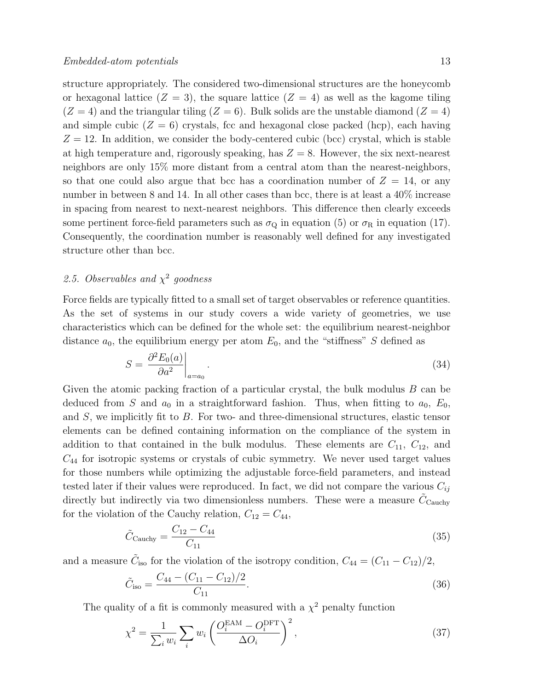structure appropriately. The considered two-dimensional structures are the honeycomb or hexagonal lattice  $(Z = 3)$ , the square lattice  $(Z = 4)$  as well as the kagome tiling  $(Z = 4)$  and the triangular tiling  $(Z = 6)$ . Bulk solids are the unstable diamond  $(Z = 4)$ and simple cubic  $(Z = 6)$  crystals, fcc and hexagonal close packed (hcp), each having  $Z = 12$ . In addition, we consider the body-centered cubic (bcc) crystal, which is stable at high temperature and, rigorously speaking, has  $Z = 8$ . However, the six next-nearest neighbors are only 15% more distant from a central atom than the nearest-neighbors, so that one could also argue that bcc has a coordination number of  $Z = 14$ , or any number in between 8 and 14. In all other cases than bcc, there is at least a  $40\%$  increase in spacing from nearest to next-nearest neighbors. This difference then clearly exceeds some pertinent force-field parameters such as  $\sigma_{\rm Q}$  in equation (5) or  $\sigma_{\rm R}$  in equation (17). Consequently, the coordination number is reasonably well defined for any investigated structure other than bcc.

# 2.5. Observables and  $\chi^2$  goodness

Force fields are typically fitted to a small set of target observables or reference quantities. As the set of systems in our study covers a wide variety of geometries, we use characteristics which can be defined for the whole set: the equilibrium nearest-neighbor distance  $a_0$ , the equilibrium energy per atom  $E_0$ , and the "stiffness" S defined as

$$
S = \frac{\partial^2 E_0(a)}{\partial a^2} \bigg|_{a=a_0} \,. \tag{34}
$$

Given the atomic packing fraction of a particular crystal, the bulk modulus B can be deduced from S and  $a_0$  in a straightforward fashion. Thus, when fitting to  $a_0$ ,  $E_0$ , and S, we implicitly fit to B. For two- and three-dimensional structures, elastic tensor elements can be defined containing information on the compliance of the system in addition to that contained in the bulk modulus. These elements are  $C_{11}$ ,  $C_{12}$ , and  $C_{44}$  for isotropic systems or crystals of cubic symmetry. We never used target values for those numbers while optimizing the adjustable force-field parameters, and instead tested later if their values were reproduced. In fact, we did not compare the various  $C_{ij}$ directly but indirectly via two dimensionless numbers. These were a measure  $\tilde{C}_{\text{Cauchy}}$ for the violation of the Cauchy relation,  $C_{12} = C_{44}$ ,

$$
\tilde{C}_{\text{Cauchy}} = \frac{C_{12} - C_{44}}{C_{11}}\tag{35}
$$

and a measure  $\tilde{C}_{\text{iso}}$  for the violation of the isotropy condition,  $C_{44} = (C_{11} - C_{12})/2$ ,

$$
\tilde{C}_{\text{iso}} = \frac{C_{44} - (C_{11} - C_{12})/2}{C_{11}}.
$$
\n(36)

The quality of a fit is commonly measured with a  $\chi^2$  penalty function

$$
\chi^2 = \frac{1}{\sum_i w_i} \sum_i w_i \left( \frac{O_i^{\text{EAM}} - O_i^{\text{DFT}}}{\Delta O_i} \right)^2,\tag{37}
$$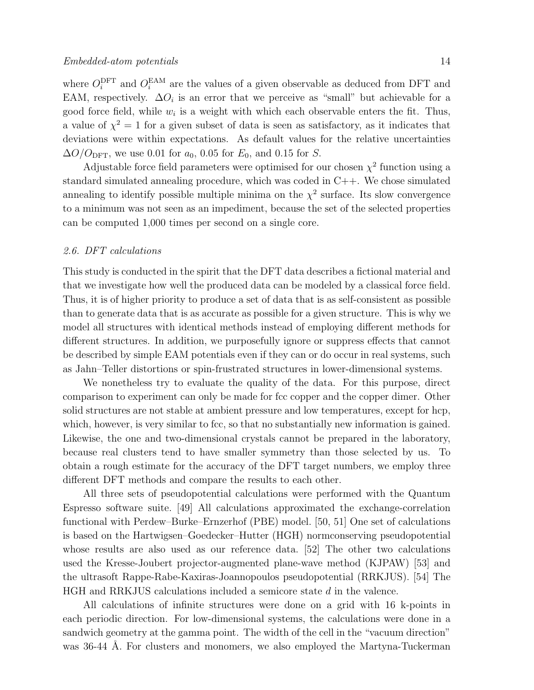where  $O_i^{\text{DFT}}$  and  $O_i^{\text{EAM}}$  are the values of a given observable as deduced from DFT and EAM, respectively.  $\Delta O_i$  is an error that we perceive as "small" but achievable for a good force field, while  $w_i$  is a weight with which each observable enters the fit. Thus, a value of  $\chi^2 = 1$  for a given subset of data is seen as satisfactory, as it indicates that deviations were within expectations. As default values for the relative uncertainties  $\Delta O/O_{\text{DFT}}$ , we use 0.01 for  $a_0$ , 0.05 for  $E_0$ , and 0.15 for S.

Adjustable force field parameters were optimised for our chosen  $\chi^2$  function using a standard simulated annealing procedure, which was coded in C++. We chose simulated annealing to identify possible multiple minima on the  $\chi^2$  surface. Its slow convergence to a minimum was not seen as an impediment, because the set of the selected properties can be computed 1,000 times per second on a single core.

### 2.6. DFT calculations

This study is conducted in the spirit that the DFT data describes a fictional material and that we investigate how well the produced data can be modeled by a classical force field. Thus, it is of higher priority to produce a set of data that is as self-consistent as possible than to generate data that is as accurate as possible for a given structure. This is why we model all structures with identical methods instead of employing different methods for different structures. In addition, we purposefully ignore or suppress effects that cannot be described by simple EAM potentials even if they can or do occur in real systems, such as Jahn–Teller distortions or spin-frustrated structures in lower-dimensional systems.

We nonetheless try to evaluate the quality of the data. For this purpose, direct comparison to experiment can only be made for fcc copper and the copper dimer. Other solid structures are not stable at ambient pressure and low temperatures, except for hcp, which, however, is very similar to fcc, so that no substantially new information is gained. Likewise, the one and two-dimensional crystals cannot be prepared in the laboratory, because real clusters tend to have smaller symmetry than those selected by us. To obtain a rough estimate for the accuracy of the DFT target numbers, we employ three different DFT methods and compare the results to each other.

All three sets of pseudopotential calculations were performed with the Quantum Espresso software suite. [49] All calculations approximated the exchange-correlation functional with Perdew–Burke–Ernzerhof (PBE) model. [50, 51] One set of calculations is based on the Hartwigsen–Goedecker–Hutter (HGH) normconserving pseudopotential whose results are also used as our reference data. [52] The other two calculations used the Kresse-Joubert projector-augmented plane-wave method (KJPAW) [53] and the ultrasoft Rappe-Rabe-Kaxiras-Joannopoulos pseudopotential (RRKJUS). [54] The HGH and RRKJUS calculations included a semicore state d in the valence.

All calculations of infinite structures were done on a grid with 16 k-points in each periodic direction. For low-dimensional systems, the calculations were done in a sandwich geometry at the gamma point. The width of the cell in the "vacuum direction" was 36-44 Å. For clusters and monomers, we also employed the Martyna-Tuckerman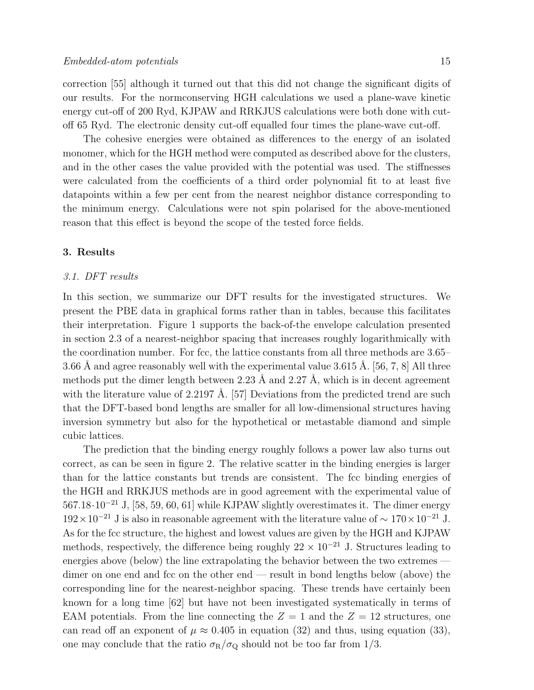correction [55] although it turned out that this did not change the significant digits of our results. For the normconserving HGH calculations we used a plane-wave kinetic energy cut-off of 200 Ryd, KJPAW and RRKJUS calculations were both done with cutoff 65 Ryd. The electronic density cut-off equalled four times the plane-wave cut-off.

The cohesive energies were obtained as differences to the energy of an isolated monomer, which for the HGH method were computed as described above for the clusters, and in the other cases the value provided with the potential was used. The stiffnesses were calculated from the coefficients of a third order polynomial fit to at least five datapoints within a few per cent from the nearest neighbor distance corresponding to the minimum energy. Calculations were not spin polarised for the above-mentioned reason that this effect is beyond the scope of the tested force fields.

# 3. Results

### 3.1. DFT results

In this section, we summarize our DFT results for the investigated structures. We present the PBE data in graphical forms rather than in tables, because this facilitates their interpretation. Figure 1 supports the back-of-the envelope calculation presented in section 2.3 of a nearest-neighbor spacing that increases roughly logarithmically with the coordination number. For fcc, the lattice constants from all three methods are 3.65– 3.66 Å and agree reasonably well with the experimental value 3.615 Å. [56, 7, 8] All three methods put the dimer length between 2.23 Å and 2.27 Å, which is in decent agreement with the literature value of 2.2197 Å. [57] Deviations from the predicted trend are such that the DFT-based bond lengths are smaller for all low-dimensional structures having inversion symmetry but also for the hypothetical or metastable diamond and simple cubic lattices.

The prediction that the binding energy roughly follows a power law also turns out correct, as can be seen in figure 2. The relative scatter in the binding energies is larger than for the lattice constants but trends are consistent. The fcc binding energies of the HGH and RRKJUS methods are in good agreement with the experimental value of  $567.18 \cdot 10^{-21}$  J, [58, 59, 60, 61] while KJPAW slightly overestimates it. The dimer energy  $192 \times 10^{-21}$  J is also in reasonable agreement with the literature value of  $\sim 170 \times 10^{-21}$  J. As for the fcc structure, the highest and lowest values are given by the HGH and KJPAW methods, respectively, the difference being roughly  $22 \times 10^{-21}$  J. Structures leading to energies above (below) the line extrapolating the behavior between the two extremes dimer on one end and fcc on the other end — result in bond lengths below (above) the corresponding line for the nearest-neighbor spacing. These trends have certainly been known for a long time [62] but have not been investigated systematically in terms of EAM potentials. From the line connecting the  $Z = 1$  and the  $Z = 12$  structures, one can read off an exponent of  $\mu \approx 0.405$  in equation (32) and thus, using equation (33), one may conclude that the ratio  $\sigma_R/\sigma_Q$  should not be too far from 1/3.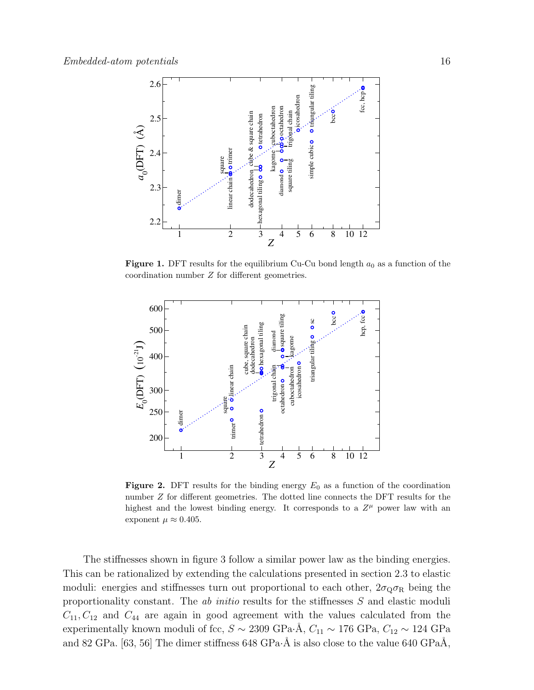

**Figure 1.** DFT results for the equilibrium Cu-Cu bond length  $a_0$  as a function of the coordination number Z for different geometries.



Figure 2. DFT results for the binding energy  $E_0$  as a function of the coordination number Z for different geometries. The dotted line connects the DFT results for the highest and the lowest binding energy. It corresponds to a  $Z^{\mu}$  power law with an exponent  $\mu \approx 0.405$ .

The stiffnesses shown in figure 3 follow a similar power law as the binding energies. This can be rationalized by extending the calculations presented in section 2.3 to elastic moduli: energies and stiffnesses turn out proportional to each other,  $2\sigma_{\rm Q}\sigma_{\rm R}$  being the proportionality constant. The *ab initio* results for the stiffnesses S and elastic moduli  $C_{11}, C_{12}$  and  $C_{44}$  are again in good agreement with the values calculated from the experimentally known moduli of fcc,  $S \sim 2309 \text{ GPa} \cdot \text{\AA}, C_{11} \sim 176 \text{ GPa}, C_{12} \sim 124 \text{ GPa}$ and 82 GPa. [63, 56] The dimer stiffness 648 GPa·Å is also close to the value 640 GPa $\AA$ ,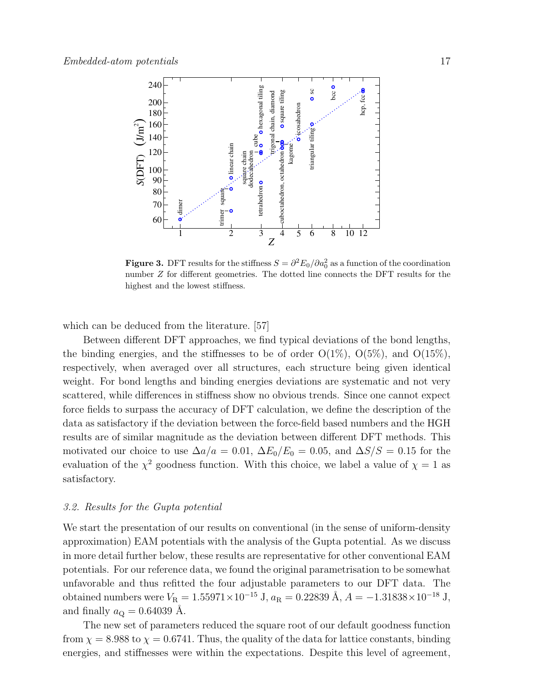

**Figure 3.** DFT results for the stiffness  $S = \partial^2 E_0 / \partial a_0^2$  as a function of the coordination number Z for different geometries. The dotted line connects the DFT results for the highest and the lowest stiffness.

which can be deduced from the literature. [57]

Between different DFT approaches, we find typical deviations of the bond lengths, the binding energies, and the stiffnesses to be of order  $O(1\%)$ ,  $O(5\%)$ , and  $O(15\%)$ , respectively, when averaged over all structures, each structure being given identical weight. For bond lengths and binding energies deviations are systematic and not very scattered, while differences in stiffness show no obvious trends. Since one cannot expect force fields to surpass the accuracy of DFT calculation, we define the description of the data as satisfactory if the deviation between the force-field based numbers and the HGH results are of similar magnitude as the deviation between different DFT methods. This motivated our choice to use  $\Delta a/a = 0.01$ ,  $\Delta E_0/E_0 = 0.05$ , and  $\Delta S/S = 0.15$  for the evaluation of the  $\chi^2$  goodness function. With this choice, we label a value of  $\chi = 1$  as satisfactory.

### 3.2. Results for the Gupta potential

We start the presentation of our results on conventional (in the sense of uniform-density approximation) EAM potentials with the analysis of the Gupta potential. As we discuss in more detail further below, these results are representative for other conventional EAM potentials. For our reference data, we found the original parametrisation to be somewhat unfavorable and thus refitted the four adjustable parameters to our DFT data. The obtained numbers were  $V_{\rm R} = 1.55971\times10^{-15}$  J,  $a_{\rm R} = 0.22839$  Å,  $A = -1.31838\times10^{-18}$  J, and finally  $a_{\rm Q} = 0.64039$  Å.

The new set of parameters reduced the square root of our default goodness function from  $\chi = 8.988$  to  $\chi = 0.6741$ . Thus, the quality of the data for lattice constants, binding energies, and stiffnesses were within the expectations. Despite this level of agreement,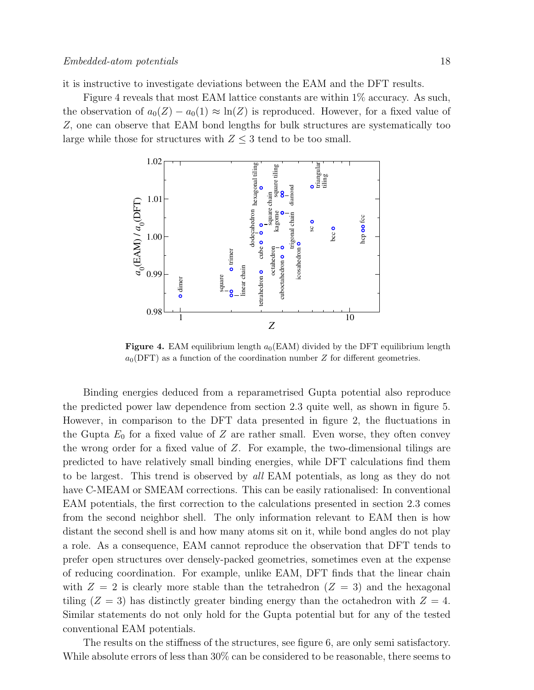it is instructive to investigate deviations between the EAM and the DFT results.

Figure 4 reveals that most EAM lattice constants are within  $1\%$  accuracy. As such, the observation of  $a_0(Z) - a_0(1) \approx \ln(Z)$  is reproduced. However, for a fixed value of Z, one can observe that EAM bond lengths for bulk structures are systematically too large while those for structures with  $Z \leq 3$  tend to be too small.



**Figure 4.** EAM equilibrium length  $a_0$ (EAM) divided by the DFT equilibrium length  $a_0(DFT)$  as a function of the coordination number Z for different geometries.

Binding energies deduced from a reparametrised Gupta potential also reproduce the predicted power law dependence from section 2.3 quite well, as shown in figure 5. However, in comparison to the DFT data presented in figure 2, the fluctuations in the Gupta  $E_0$  for a fixed value of Z are rather small. Even worse, they often convey the wrong order for a fixed value of Z. For example, the two-dimensional tilings are predicted to have relatively small binding energies, while DFT calculations find them to be largest. This trend is observed by all EAM potentials, as long as they do not have C-MEAM or SMEAM corrections. This can be easily rationalised: In conventional EAM potentials, the first correction to the calculations presented in section 2.3 comes from the second neighbor shell. The only information relevant to EAM then is how distant the second shell is and how many atoms sit on it, while bond angles do not play a role. As a consequence, EAM cannot reproduce the observation that DFT tends to prefer open structures over densely-packed geometries, sometimes even at the expense of reducing coordination. For example, unlike EAM, DFT finds that the linear chain with  $Z = 2$  is clearly more stable than the tetrahedron  $(Z = 3)$  and the hexagonal tiling  $(Z = 3)$  has distinctly greater binding energy than the octahedron with  $Z = 4$ . Similar statements do not only hold for the Gupta potential but for any of the tested conventional EAM potentials.

The results on the stiffness of the structures, see figure 6, are only semi satisfactory. While absolute errors of less than  $30\%$  can be considered to be reasonable, there seems to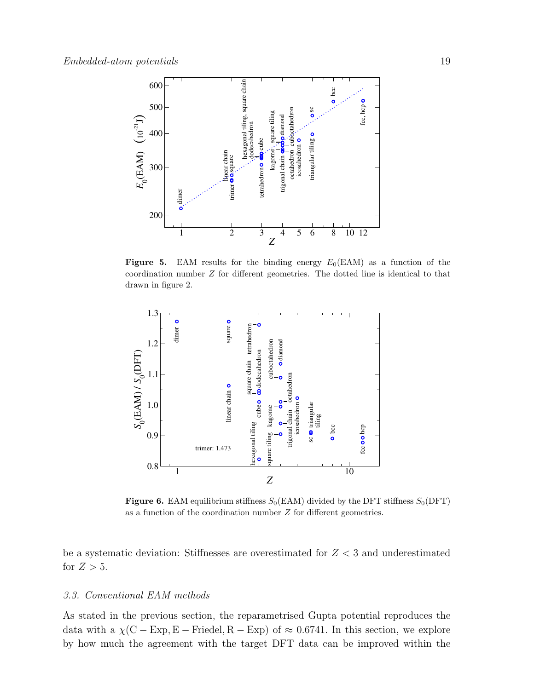

**Figure 5.** EAM results for the binding energy  $E_0(EAM)$  as a function of the coordination number Z for different geometries. The dotted line is identical to that drawn in figure 2.



**Figure 6.** EAM equilibrium stiffness  $S_0(EAM)$  divided by the DFT stiffness  $S_0(DFT)$ as a function of the coordination number Z for different geometries.

be a systematic deviation: Stiffnesses are overestimated for  $Z < 3$  and underestimated for  $Z > 5$ .

# 3.3. Conventional EAM methods

As stated in the previous section, the reparametrised Gupta potential reproduces the data with a  $\chi$ (C – Exp, E – Friedel, R – Exp) of  $\approx 0.6741$ . In this section, we explore by how much the agreement with the target DFT data can be improved within the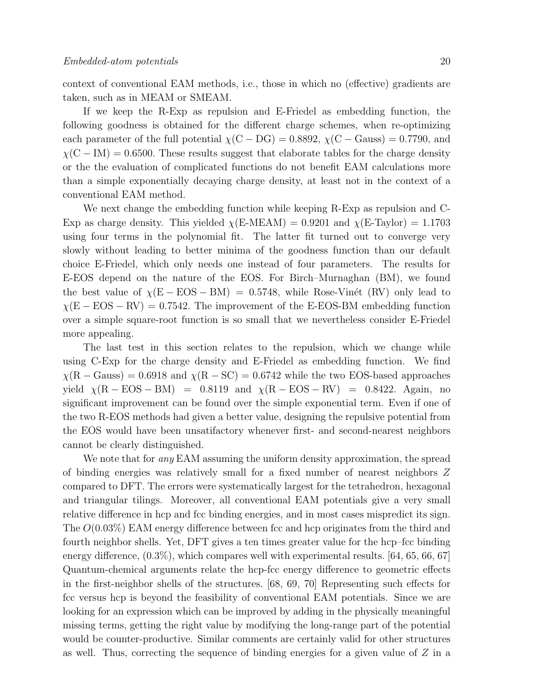context of conventional EAM methods, i.e., those in which no (effective) gradients are taken, such as in MEAM or SMEAM.

If we keep the R-Exp as repulsion and E-Friedel as embedding function, the following goodness is obtained for the different charge schemes, when re-optimizing each parameter of the full potential  $\chi$ (C – DG) = 0.8892,  $\chi$ (C – Gauss) = 0.7790, and  $\chi$ (C – IM) = 0.6500. These results suggest that elaborate tables for the charge density or the the evaluation of complicated functions do not benefit EAM calculations more than a simple exponentially decaying charge density, at least not in the context of a conventional EAM method.

We next change the embedding function while keeping R-Exp as repulsion and C-Exp as charge density. This yielded  $\chi$ (E-MEAM) = 0.9201 and  $\chi$ (E-Taylor) = 1.1703 using four terms in the polynomial fit. The latter fit turned out to converge very slowly without leading to better minima of the goodness function than our default choice E-Friedel, which only needs one instead of four parameters. The results for E-EOS depend on the nature of the EOS. For Birch–Murnaghan (BM), we found the best value of  $\chi(E - EOS - BM) = 0.5748$ , while Rose-Vinét (RV) only lead to  $\chi(E - EOS - RV) = 0.7542$ . The improvement of the E-EOS-BM embedding function over a simple square-root function is so small that we nevertheless consider E-Friedel more appealing.

The last test in this section relates to the repulsion, which we change while using C-Exp for the charge density and E-Friedel as embedding function. We find  $\chi(R -$ Gauss) = 0.6918 and  $\chi(R - SC) = 0.6742$  while the two EOS-based approaches yield  $\chi(R - EOS - BM) = 0.8119$  and  $\chi(R - EOS - RV) = 0.8422$ . Again, no significant improvement can be found over the simple exponential term. Even if one of the two R-EOS methods had given a better value, designing the repulsive potential from the EOS would have been unsatifactory whenever first- and second-nearest neighbors cannot be clearly distinguished.

We note that for *any* EAM assuming the uniform density approximation, the spread of binding energies was relatively small for a fixed number of nearest neighbors Z compared to DFT. The errors were systematically largest for the tetrahedron, hexagonal and triangular tilings. Moreover, all conventional EAM potentials give a very small relative difference in hcp and fcc binding energies, and in most cases mispredict its sign. The O(0.03%) EAM energy difference between fcc and hcp originates from the third and fourth neighbor shells. Yet, DFT gives a ten times greater value for the hcp–fcc binding energy difference,  $(0.3\%)$ , which compares well with experimental results. [64, 65, 66, 67] Quantum-chemical arguments relate the hcp-fcc energy difference to geometric effects in the first-neighbor shells of the structures. [68, 69, 70] Representing such effects for fcc versus hcp is beyond the feasibility of conventional EAM potentials. Since we are looking for an expression which can be improved by adding in the physically meaningful missing terms, getting the right value by modifying the long-range part of the potential would be counter-productive. Similar comments are certainly valid for other structures as well. Thus, correcting the sequence of binding energies for a given value of  $Z$  in a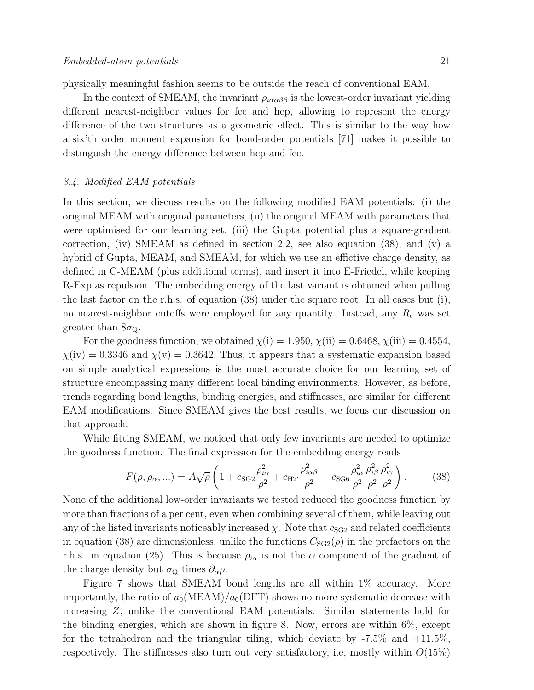physically meaningful fashion seems to be outside the reach of conventional EAM.

In the context of SMEAM, the invariant  $\rho_{i\alpha\alpha\beta\beta}$  is the lowest-order invariant yielding different nearest-neighbor values for fcc and hcp, allowing to represent the energy difference of the two structures as a geometric effect. This is similar to the way how a six'th order moment expansion for bond-order potentials [71] makes it possible to distinguish the energy difference between hcp and fcc.

### 3.4. Modified EAM potentials

In this section, we discuss results on the following modified EAM potentials: (i) the original MEAM with original parameters, (ii) the original MEAM with parameters that were optimised for our learning set, (iii) the Gupta potential plus a square-gradient correction, (iv) SMEAM as defined in section 2.2, see also equation (38), and (v) a hybrid of Gupta, MEAM, and SMEAM, for which we use an effictive charge density, as defined in C-MEAM (plus additional terms), and insert it into E-Friedel, while keeping R-Exp as repulsion. The embedding energy of the last variant is obtained when pulling the last factor on the r.h.s. of equation (38) under the square root. In all cases but (i), no nearest-neighbor cutoffs were employed for any quantity. Instead, any  $R_c$  was set greater than  $8\sigma_{\Omega}$ .

For the goodness function, we obtained  $\chi(i) = 1.950, \chi(ii) = 0.6468, \chi(iii) = 0.4554$ ,  $\chi$ (iv) = 0.3346 and  $\chi$ (v) = 0.3642. Thus, it appears that a systematic expansion based on simple analytical expressions is the most accurate choice for our learning set of structure encompassing many different local binding environments. However, as before, trends regarding bond lengths, binding energies, and stiffnesses, are similar for different EAM modifications. Since SMEAM gives the best results, we focus our discussion on that approach.

While fitting SMEAM, we noticed that only few invariants are needed to optimize the goodness function. The final expression for the embedding energy reads

$$
F(\rho, \rho_{\alpha},...) = A\sqrt{\rho} \left( 1 + c_{\text{SG2}} \frac{\rho_{i\alpha}^2}{\rho^2} + c_{\text{H2}}' \frac{\rho_{i\alpha\beta}^2}{\rho^2} + c_{\text{SG6}} \frac{\rho_{i\alpha}^2}{\rho^2} \frac{\rho_{i\beta}^2}{\rho^2} \frac{\rho_{i\gamma}^2}{\rho^2} \right). \tag{38}
$$

None of the additional low-order invariants we tested reduced the goodness function by more than fractions of a per cent, even when combining several of them, while leaving out any of the listed invariants noticeably increased  $\chi$ . Note that  $c_{SG2}$  and related coefficients in equation (38) are dimensionless, unlike the functions  $C<sub>SG2</sub>(\rho)$  in the prefactors on the r.h.s. in equation (25). This is because  $\rho_{i\alpha}$  is not the  $\alpha$  component of the gradient of the charge density but  $\sigma_{Q}$  times  $\partial_{\alpha}\rho$ .

Figure 7 shows that SMEAM bond lengths are all within 1% accuracy. More importantly, the ratio of  $a_0(\text{MEAM})/a_0(\text{DFT})$  shows no more systematic decrease with increasing Z, unlike the conventional EAM potentials. Similar statements hold for the binding energies, which are shown in figure 8. Now, errors are within 6%, except for the tetrahedron and the triangular tiling, which deviate by  $-7.5\%$  and  $+11.5\%$ , respectively. The stiffnesses also turn out very satisfactory, i.e. mostly within  $O(15\%)$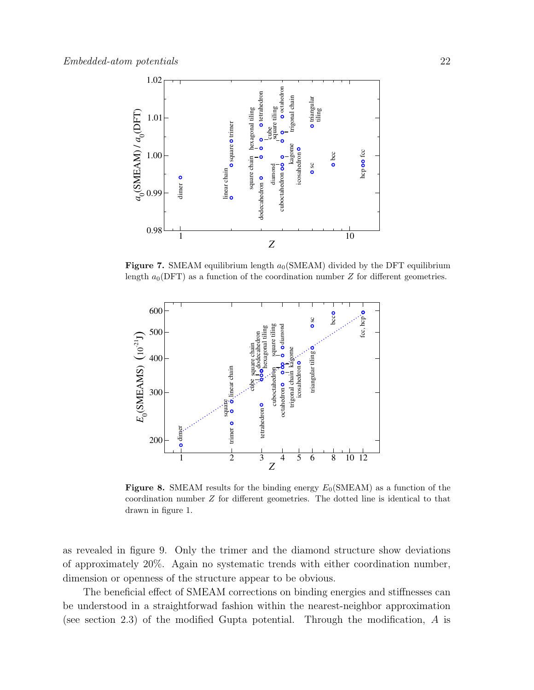

Figure 7. SMEAM equilibrium length  $a_0$ (SMEAM) divided by the DFT equilibrium length  $a_0(DFT)$  as a function of the coordination number Z for different geometries.



**Figure 8.** SMEAM results for the binding energy  $E_0$ (SMEAM) as a function of the coordination number Z for different geometries. The dotted line is identical to that drawn in figure 1.

as revealed in figure 9. Only the trimer and the diamond structure show deviations of approximately 20%. Again no systematic trends with either coordination number, dimension or openness of the structure appear to be obvious.

The beneficial effect of SMEAM corrections on binding energies and stiffnesses can be understood in a straightforwad fashion within the nearest-neighbor approximation (see section 2.3) of the modified Gupta potential. Through the modification, A is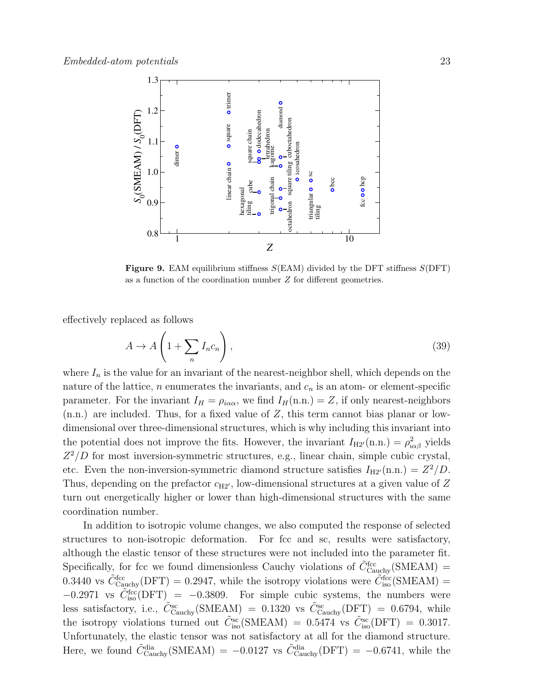

Figure 9. EAM equilibrium stiffness  $S($ EAM) divided by the DFT stiffness  $S($ DFT) as a function of the coordination number Z for different geometries.

effectively replaced as follows

$$
A \to A\left(1 + \sum_{n} I_n c_n\right),\tag{39}
$$

where  $I_n$  is the value for an invariant of the nearest-neighbor shell, which depends on the nature of the lattice, n enumerates the invariants, and  $c_n$  is an atom- or element-specific parameter. For the invariant  $I_H = \rho_{i\alpha\alpha}$ , we find  $I_H(n,n.) = Z$ , if only nearest-neighbors  $(n.n.)$  are included. Thus, for a fixed value of Z, this term cannot bias planar or lowdimensional over three-dimensional structures, which is why including this invariant into the potential does not improve the fits. However, the invariant  $I_{H2'}(n.n.) = \rho_{\alpha\beta}^2$  yields  $Z^2/D$  for most inversion-symmetric structures, e.g., linear chain, simple cubic crystal, etc. Even the non-inversion-symmetric diamond structure satisfies  $I_{H2'}(n.n.) = Z^2/D$ . Thus, depending on the prefactor  $c_{H2}$ , low-dimensional structures at a given value of Z turn out energetically higher or lower than high-dimensional structures with the same coordination number.

In addition to isotropic volume changes, we also computed the response of selected structures to non-isotropic deformation. For fcc and sc, results were satisfactory, although the elastic tensor of these structures were not included into the parameter fit. Specifically, for fcc we found dimensionless Cauchy violations of  $\tilde{C}^{\text{fcc}}_{\text{Cauchy}}(\text{SMEAM}) =$ 0.3440 vs  $\tilde{C}^{\text{fcc}}_{\text{Cauchy}}(\text{DFT}) = 0.2947$ , while the isotropy violations were  $\tilde{C}^{\text{fcc}}_{\text{iso}}(\text{SMEAM}) =$  $-0.2971$  vs  $\tilde{C}^{fcc}_{iso}(\text{DFT})$  = -0.3809. For simple cubic systems, the numbers were less satisfactory, i.e.,  $\tilde{C}_{\text{Cauchy}}^{\text{sc}}(\text{SMEAM}) = 0.1320 \text{ vs } \tilde{C}_{\text{Cauchy}}^{\text{sc}}(\text{DFT}) = 0.6794, \text{ while}$ the isotropy violations turned out  $\tilde{C}^{sc}_{iso}(\text{SMEAM}) = 0.5474$  vs  $\tilde{C}^{sc}_{iso}(\text{DFT}) = 0.3017$ . Unfortunately, the elastic tensor was not satisfactory at all for the diamond structure. Here, we found  $\tilde{C}_{\text{Cauchy}}^{\text{dia}}(\text{SMEAM}) = -0.0127$  vs  $\tilde{C}_{\text{Cauchy}}^{\text{dia}}(\text{DFT}) = -0.6741$ , while the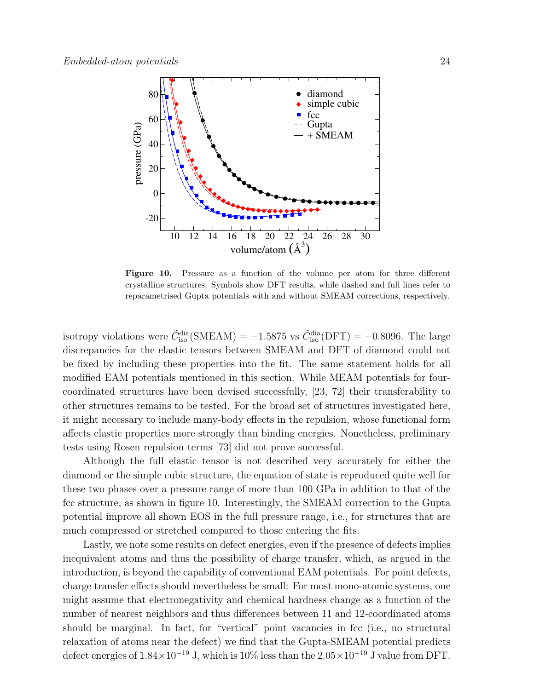

Figure 10. Pressure as a function of the volume per atom for three different crystalline structures. Symbols show DFT results, while dashed and full lines refer to reparametrised Gupta potentials with and without SMEAM corrections, respectively.

isotropy violations were  $\tilde{C}_{\text{iso}}^{\text{dia}}(\text{SMEAM}) = -1.5875$  vs  $\tilde{C}_{\text{iso}}^{\text{dia}}(\text{DFT}) = -0.8096$ . The large discrepancies for the elastic tensors between SMEAM and DFT of diamond could not be fixed by including these properties into the fit. The same statement holds for all modified EAM potentials mentioned in this section. While MEAM potentials for fourcoordinated structures have been devised successfully, [23, 72] their transferability to other structures remains to be tested. For the broad set of structures investigated here, it might necessary to include many-body effects in the repulsion, whose functional form affects elastic properties more strongly than binding energies. Nonetheless, preliminary tests using Rosen repulsion terms [73] did not prove successful.

Although the full elastic tensor is not described very accurately for either the diamond or the simple cubic structure, the equation of state is reproduced quite well for these two phases over a pressure range of more than 100 GPa in addition to that of the fcc structure, as shown in figure 10. Interestingly, the SMEAM correction to the Gupta potential improve all shown EOS in the full pressure range, i.e., for structures that are much compressed or stretched compared to those entering the fits.

Lastly, we note some results on defect energies, even if the presence of defects implies inequivalent atoms and thus the possibility of charge transfer, which, as argued in the introduction, is beyond the capability of conventional EAM potentials. For point defects, charge transfer effects should nevertheless be small: For most mono-atomic systems, one might assume that electronegativity and chemical hardness change as a function of the number of nearest neighbors and thus differences between 11 and 12-coordinated atoms should be marginal. In fact, for "vertical" point vacancies in fcc (i.e., no structural relaxation of atoms near the defect) we find that the Gupta-SMEAM potential predicts defect energies of  $1.84 \times 10^{-19}$  J, which is 10% less than the  $2.05 \times 10^{-19}$  J value from DFT.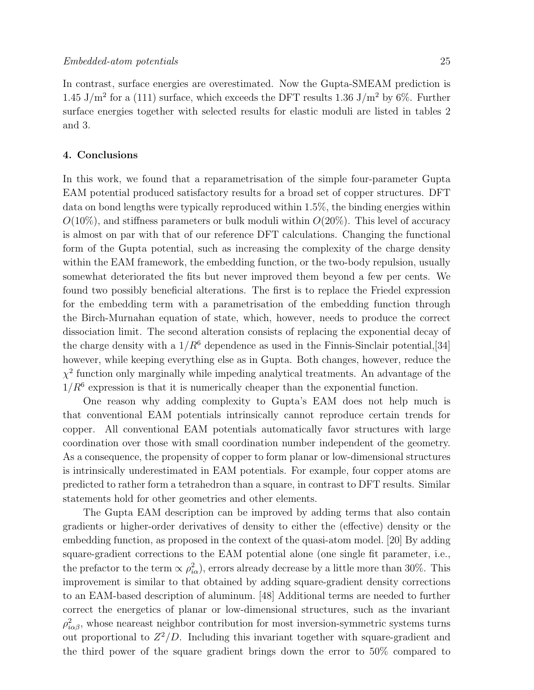In contrast, surface energies are overestimated. Now the Gupta-SMEAM prediction is 1.45 J/m<sup>2</sup> for a (111) surface, which exceeds the DFT results 1.36 J/m<sup>2</sup> by 6%. Further surface energies together with selected results for elastic moduli are listed in tables 2 and 3.

### 4. Conclusions

In this work, we found that a reparametrisation of the simple four-parameter Gupta EAM potential produced satisfactory results for a broad set of copper structures. DFT data on bond lengths were typically reproduced within 1.5%, the binding energies within  $O(10\%)$ , and stiffness parameters or bulk moduli within  $O(20\%)$ . This level of accuracy is almost on par with that of our reference DFT calculations. Changing the functional form of the Gupta potential, such as increasing the complexity of the charge density within the EAM framework, the embedding function, or the two-body repulsion, usually somewhat deteriorated the fits but never improved them beyond a few per cents. We found two possibly beneficial alterations. The first is to replace the Friedel expression for the embedding term with a parametrisation of the embedding function through the Birch-Murnahan equation of state, which, however, needs to produce the correct dissociation limit. The second alteration consists of replacing the exponential decay of the charge density with a  $1/R^6$  dependence as used in the Finnis-Sinclair potential, [34] however, while keeping everything else as in Gupta. Both changes, however, reduce the  $\chi^2$  function only marginally while impeding analytical treatments. An advantage of the  $1/R<sup>6</sup>$  expression is that it is numerically cheaper than the exponential function.

One reason why adding complexity to Gupta's EAM does not help much is that conventional EAM potentials intrinsically cannot reproduce certain trends for copper. All conventional EAM potentials automatically favor structures with large coordination over those with small coordination number independent of the geometry. As a consequence, the propensity of copper to form planar or low-dimensional structures is intrinsically underestimated in EAM potentials. For example, four copper atoms are predicted to rather form a tetrahedron than a square, in contrast to DFT results. Similar statements hold for other geometries and other elements.

The Gupta EAM description can be improved by adding terms that also contain gradients or higher-order derivatives of density to either the (effective) density or the embedding function, as proposed in the context of the quasi-atom model. [20] By adding square-gradient corrections to the EAM potential alone (one single fit parameter, i.e., the prefactor to the term  $\propto \rho_{i\alpha}^2$ , errors already decrease by a little more than 30%. This improvement is similar to that obtained by adding square-gradient density corrections to an EAM-based description of aluminum. [48] Additional terms are needed to further correct the energetics of planar or low-dimensional structures, such as the invariant  $\rho_{i\alpha\beta}^2$ , whose neareast neighbor contribution for most inversion-symmetric systems turns out proportional to  $Z^2/D$ . Including this invariant together with square-gradient and the third power of the square gradient brings down the error to 50% compared to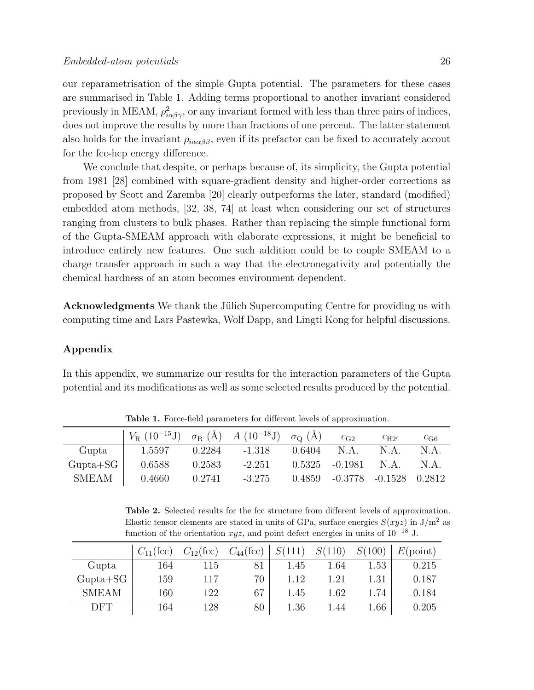our reparametrisation of the simple Gupta potential. The parameters for these cases are summarised in Table 1. Adding terms proportional to another invariant considered previously in MEAM,  $\rho_{i\alpha\beta\gamma}^2$ , or any invariant formed with less than three pairs of indices, does not improve the results by more than fractions of one percent. The latter statement also holds for the invariant  $\rho_{i\alpha\alpha\beta\beta}$ , even if its prefactor can be fixed to accurately accout for the fcc-hcp energy difference.

We conclude that despite, or perhaps because of, its simplicity, the Gupta potential from 1981 [28] combined with square-gradient density and higher-order corrections as proposed by Scott and Zaremba [20] clearly outperforms the later, standard (modified) embedded atom methods, [32, 38, 74] at least when considering our set of structures ranging from clusters to bulk phases. Rather than replacing the simple functional form of the Gupta-SMEAM approach with elaborate expressions, it might be beneficial to introduce entirely new features. One such addition could be to couple SMEAM to a charge transfer approach in such a way that the electronegativity and potentially the chemical hardness of an atom becomes environment dependent.

Acknowledgments We thank the Jülich Supercomputing Centre for providing us with computing time and Lars Pastewka, Wolf Dapp, and Lingti Kong for helpful discussions.

# Appendix

In this appendix, we summarize our results for the interaction parameters of the Gupta potential and its modifications as well as some selected results produced by the potential.

|              | $V_{\rm R}$ (10 <sup>-15</sup> J) $\sigma_{\rm R}$ (Å) A (10 <sup>-18</sup> J) $\sigma_{\rm Q}$ (Å) |        |          |        | $C_{\text{G2}}$                 | $C_{\rm H2'}$ | $c_{\rm G6}$ |
|--------------|-----------------------------------------------------------------------------------------------------|--------|----------|--------|---------------------------------|---------------|--------------|
| Gupta        | 1.5597                                                                                              | 0.2284 | -1.318   | 0.6404 | $NA$ .                          | N.A.          | N.A.         |
| $Gupta+SG$   | 0.6588                                                                                              | 0.2583 | $-2.251$ |        | $0.5325 -0.1981$                | NA            | N.A.         |
| <b>SMEAM</b> | 0.4660                                                                                              | 0.2741 | $-3.275$ |        | $0.4859 -0.3778 -0.1528 0.2812$ |               |              |

Table 1. Force-field parameters for different levels of approximation.

Table 2. Selected results for the fcc structure from different levels of approximation. Elastic tensor elements are stated in units of GPa, surface energies  $S(xyz)$  in  $J/m^2$  as function of the orientation  $xyz$ , and point defect energies in units of  $10^{-18}$  J.

|              | $C_{11}$ (fcc) | $C_{12}$ (fcc) | $C_{44}$ (fcc) | S(111) | S(110) | S(100)   | $E(\text{point})$ |
|--------------|----------------|----------------|----------------|--------|--------|----------|-------------------|
| Gupta        | 164            | 115            | 81             | 1.45   | 1.64   | $1.53\,$ | 0.215             |
| $Gupta+SG$   | 159            | 117            | 70             | 1.12   | 1.21   | 1.31     | 0.187             |
| <b>SMEAM</b> | 160            | 122            | 67             | 1.45   | 1.62   | 1.74     | 0.184             |
| DFT          | 164            | 128            | 80             | 1.36   | .44    | 1.66     | 0.205             |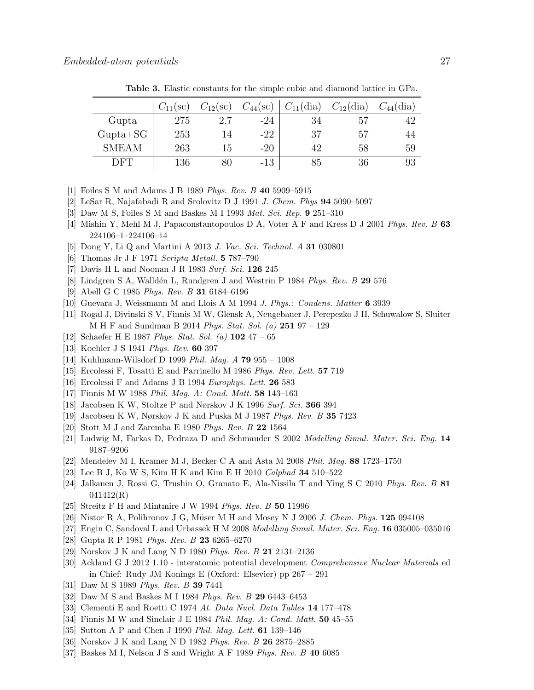|              | $C_{11}(\text{sc})$ | $C_{12}(\text{sc})$ | $C_{44}(\mathrm{sc})$ | $C_{11}$ (dia) | $C_{12}$ (dia) | $C_{44}$ (dia) |
|--------------|---------------------|---------------------|-----------------------|----------------|----------------|----------------|
| Gupta        | 275                 | $2.7\,$             | $-24$                 | 34             | 57             |                |
| $Gupta+SG$   | 253                 | 14                  | $-22$                 | 37             | 57             | 44             |
| <b>SMEAM</b> | 263                 | 15                  | $-20$                 | 42             | 58             | 59             |
| DFT          | 136                 | 80                  | $-13$                 | 85             | 36             | 93             |

Table 3. Elastic constants for the simple cubic and diamond lattice in GPa.

- [1] Foiles S M and Adams J B 1989 Phys. Rev. B 40 5909–5915
- [2] LeSar R, Najafabadi R and Srolovitz D J 1991 J. Chem. Phys  $94\,5090-5097$
- [3] Daw M S, Foiles S M and Baskes M I 1993 Mat. Sci. Rep. 9 251–310
- [4] Mishin Y, Mehl M J, Papaconstantopoulos D A, Voter A F and Kress D J 2001 Phys. Rev. B 63 224106–1–224106–14
- [5] Dong Y, Li Q and Martini A 2013 J. Vac. Sci. Technol. A 31 030801
- [6] Thomas Jr J F 1971 Scripta Metall. 5 787–790
- [7] Davis H L and Noonan J R 1983 Surf. Sci. 126 245
- [8] Lindgren S A, Walldén L, Rundgren J and Westrin P 1984 Phys. Rev. B 29 576
- [9] Abell G C 1985 Phys. Rev. B 31 6184–6196
- [10] Guevara J, Weissmann M and Llois A M 1994 J. Phys.: Condens. Matter 6 3939
- [11] Rogal J, Divinski S V, Finnis M W, Glensk A, Neugebauer J, Perepezko J H, Schuwalow S, Sluiter M H F and Sundman B 2014 Phys. Stat. Sol. (a) 251 97 – 129
- [12] Schaefer H E 1987 *Phys. Stat. Sol.* (a)  $102\,47 65$
- [13] Koehler J S 1941 *Phys. Rev.* **60** 397
- [14] Kuhlmann-Wilsdorf D 1999 Phil. Mag. A 79 955 1008
- [15] Ercolessi F, Tosatti E and Parrinello M 1986 Phys. Rev. Lett. 57 719
- [16] Ercolessi F and Adams J B 1994 Europhys. Lett. 26 583
- [17] Finnis M W 1988 Phil. Mag. A: Cond. Matt. 58 143–163
- [18] Jacobsen K W, Stoltze P and Nørskov J K 1996 Surf. Sci. 366 394
- [19] Jacobsen K W, Nørskov J K and Puska M J 1987 Phys. Rev. B 35 7423
- [20] Stott M J and Zaremba E 1980 Phys. Rev. B 22 1564
- [21] Ludwig M, Farkas D, Pedraza D and Schmauder S 2002 Modelling Simul. Mater. Sci. Eng. 14 9187–9206
- [22] Mendelev M I, Kramer M J, Becker C A and Asta M 2008 Phil. Mag. 88 1723–1750
- [23] Lee B J, Ko W S, Kim H K and Kim E H 2010 Calphad 34 510–522
- [24] Jalkanen J, Rossi G, Trushin O, Granato E, Ala-Nissila T and Ying S C 2010 Phys. Rev. B 81 041412(R)
- [25] Streitz F H and Mintmire J W 1994 Phys. Rev. B 50 11996
- [26] Nistor R A, Polihronov J G, Müser M H and Mosey N J 2006 J. Chem. Phys.  $125\ 094108$
- [27] Engin C, Sandoval L and Urbassek H M 2008 Modelling Simul. Mater. Sci. Eng. 16 035005–035016
- [28] Gupta R P 1981 Phys. Rev. B 23 6265–6270
- [29] Norskov J K and Lang N D 1980 Phys. Rev. B 21 2131–2136
- [30] Ackland G J 2012 1.10 interatomic potential development Comprehensive Nuclear Materials ed in Chief: Rudy JM Konings E (Oxford: Elsevier) pp 267 – 291
- [31] Daw M S 1989 Phys. Rev. B 39 7441
- [32] Daw M S and Baskes M I 1984 Phys. Rev. B 29 6443–6453
- [33] Clementi E and Roetti C 1974 At. Data Nucl. Data Tables 14 177–478
- [34] Finnis M W and Sinclair J E 1984 *Phil. Mag. A: Cond. Matt.* **50** 45–55
- [35] Sutton A P and Chen J 1990 Phil. Mag. Lett. **61** 139–146
- [36] Norskov J K and Lang N D 1982 Phys. Rev. B 26 2875–2885
- [37] Baskes M I, Nelson J S and Wright A F 1989 Phys. Rev. B 40 6085